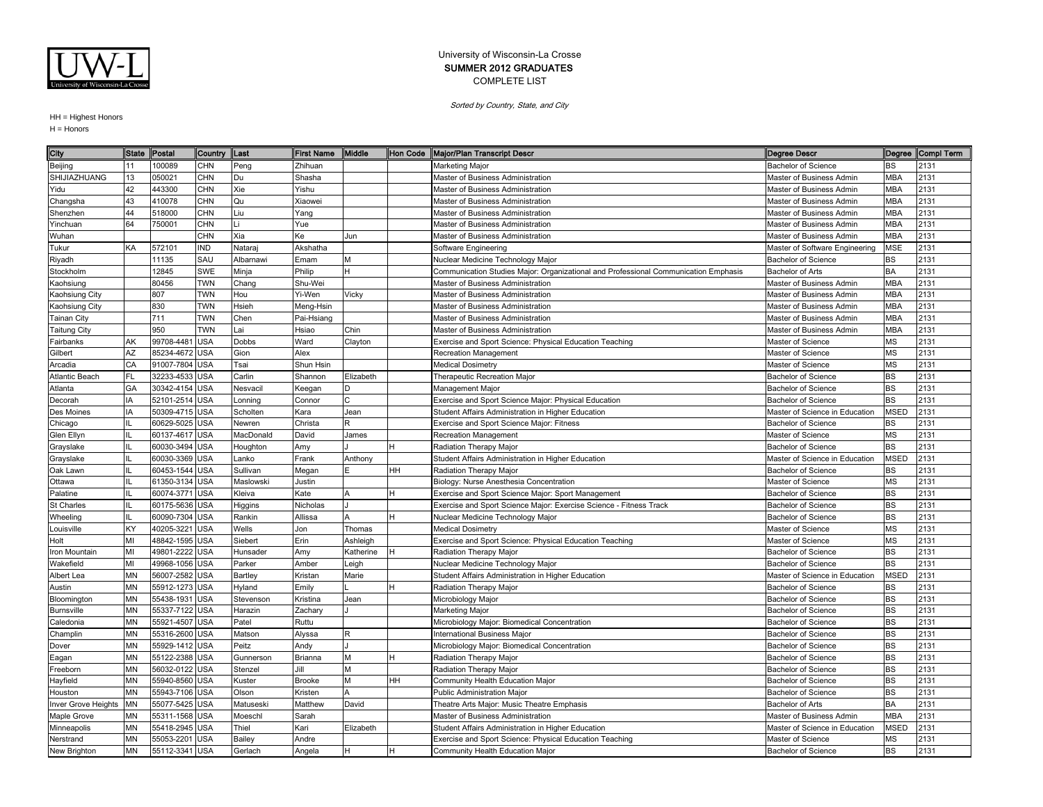

Sorted by Country, State, and City

| City                | <b>State</b> | Postal         | Country  Last |           | <b>First Name</b> | Middle    |    | Hon Code Major/Plan Transcript Descr                                                | <b>Degree Descr</b>            |             | Degree Compi Term |
|---------------------|--------------|----------------|---------------|-----------|-------------------|-----------|----|-------------------------------------------------------------------------------------|--------------------------------|-------------|-------------------|
| Beijing             |              | 100089         | <b>CHN</b>    | Peng      | Zhihuan           |           |    | Marketing Major                                                                     | <b>Bachelor of Science</b>     | BS          | 2131              |
| SHIJIAZHUANG        | 13           | 050021         | CHN           | Du        | Shasha            |           |    | Master of Business Administration                                                   | Master of Business Admin       | <b>MBA</b>  | 2131              |
| Yidu                | 42           | 443300         | <b>CHN</b>    | Xie       | Yishu             |           |    | Master of Business Administration                                                   | Master of Business Admin       | <b>MBA</b>  | 2131              |
| Changsha            | 43           | 410078         | <b>CHN</b>    | Qu        | Xiaowei           |           |    | Master of Business Administration                                                   | Master of Business Admin       | <b>MBA</b>  | 2131              |
| Shenzhen            | 44           | 518000         | <b>CHN</b>    | Liu       | Yang              |           |    | Master of Business Administration                                                   | Master of Business Admin       | <b>MBA</b>  | 2131              |
| Yinchuan            | 64           | 750001         | <b>CHN</b>    |           | Yue               |           |    | Master of Business Administration                                                   | Master of Business Admin       | <b>MBA</b>  | 2131              |
| Wuhan               |              |                | <b>CHN</b>    | Xia       | Ke                | Jun       |    | Master of Business Administration                                                   | Master of Business Admin       | <b>MBA</b>  | 2131              |
| Tukur               | KA           | 572101         | <b>IND</b>    | Nataraj   | Akshatha          |           |    | Software Engineering                                                                | Master of Software Engineering | <b>MSE</b>  | 2131              |
| Riyadh              |              | 11135          | SAU           | Albarnawi | Emam              | м         |    | Nuclear Medicine Technology Major                                                   | <b>Bachelor of Science</b>     | <b>BS</b>   | 2131              |
| Stockholm           |              | 12845          | <b>SWE</b>    | Minja     | Philip            | H         |    | Communication Studies Major: Organizational and Professional Communication Emphasis | <b>Bachelor of Arts</b>        | <b>BA</b>   | 2131              |
| <b>Kaohsiung</b>    |              | 80456          | <b>TWN</b>    | Chang     | Shu-Wei           |           |    | Master of Business Administration                                                   | Master of Business Admin       | <b>MBA</b>  | 2131              |
| Kaohsiung City      |              | 807            | TWN           | Hou       | Yi-Wen            | Vicky     |    | Master of Business Administration                                                   | Master of Business Admin       | <b>MBA</b>  | 2131              |
| Kaohsiung City      |              | 830            | <b>TWN</b>    | Hsieh     | Meng-Hsin         |           |    | Master of Business Administration                                                   | Master of Business Admin       | <b>MBA</b>  | 2131              |
| <b>Tainan City</b>  |              | 711            | <b>TWN</b>    | Chen      | Pai-Hsiang        |           |    | Master of Business Administration                                                   | Master of Business Admin       | <b>MBA</b>  | 2131              |
| <b>Taitung City</b> |              | 950            | <b>TWN</b>    | Lai       | Hsiao             | Chin      |    | Master of Business Administration                                                   | Master of Business Admin       | <b>MBA</b>  | 2131              |
| Fairbanks           | AK           | 99708-4481     | <b>USA</b>    | Dobbs     | Ward              | Clayton   |    | Exercise and Sport Science: Physical Education Teaching                             | Master of Science              | MS          | 2131              |
| Gilbert             | AZ           | 85234-4672     | <b>USA</b>    | Gion      | Alex              |           |    | Recreation Management                                                               | Master of Science              | <b>MS</b>   | 2131              |
| Arcadia             | CA           | 91007-7804     | <b>USA</b>    | Tsai      | Shun Hsin         |           |    | <b>Medical Dosimetry</b>                                                            | Master of Science              | MS          | 2131              |
| Atlantic Beach      | FL.          | 32233-4533     | <b>USA</b>    | Carlin    | Shannon           | Elizabeth |    | <b>Therapeutic Recreation Major</b>                                                 | <b>Bachelor of Science</b>     | <b>BS</b>   | 2131              |
| Atlanta             | GA           | 30342-4154     | <b>USA</b>    | Nesvacil  | Keegan            | D         |    | Management Major                                                                    | <b>Bachelor of Science</b>     | <b>BS</b>   | 2131              |
| Decorah             | IA           | 52101-2514     | <b>USA</b>    | Lonning   | Connor            | Ć         |    | Exercise and Sport Science Major: Physical Education                                | <b>Bachelor of Science</b>     | BS          | 2131              |
| Des Moines          | IA           | 50309-4715 USA |               | Scholten  | Kara              | Jean      |    | Student Affairs Administration in Higher Education                                  | Master of Science in Education | <b>MSED</b> | 2131              |
| Chicago             |              | 60629-5025 USA |               | Newren    | Christa           | R         |    | <b>Exercise and Sport Science Major: Fitness</b>                                    | <b>Bachelor of Science</b>     | BS          | 2131              |
| Glen Ellyn          |              | 60137-4617 USA |               | MacDonald | David             | James     |    | Recreation Management                                                               | Master of Science              | <b>MS</b>   | 2131              |
| Grayslake           |              | 60030-3494     | <b>USA</b>    | Houghton  | Amy               |           |    | Radiation Therapy Major                                                             | <b>Bachelor of Science</b>     | <b>BS</b>   | 2131              |
| Grayslake           |              | 60030-3369     | <b>USA</b>    | _anko     | Frank             | Anthony   |    | Student Affairs Administration in Higher Education                                  | Master of Science in Education | <b>MSED</b> | 2131              |
| Oak Lawn            |              | 60453-1544     | <b>USA</b>    | Sullivan  | Megan             |           | HH | Radiation Therapy Major                                                             | <b>Bachelor of Science</b>     | <b>BS</b>   | 2131              |
| Ottawa              |              | 61350-3134 USA |               | Maslowski | Justin            |           |    | Biology: Nurse Anesthesia Concentration                                             | Master of Science              | <b>MS</b>   | 2131              |
| Palatine            |              | 60074-3771     | <b>USA</b>    | Kleiva    | Kate              | Δ         |    | Exercise and Sport Science Major: Sport Management                                  | <b>Bachelor of Science</b>     | <b>BS</b>   | 2131              |
| St Charles          |              | 60175-5636 USA |               | Higgins   | Nicholas          |           |    | Exercise and Sport Science Major: Exercise Science - Fitness Track                  | <b>Bachelor of Science</b>     | <b>BS</b>   | 2131              |
| Wheeling            |              | 60090-7304 USA |               | Rankin    | Allissa           | A         |    | Nuclear Medicine Technology Major                                                   | Bachelor of Science            | <b>BS</b>   | 2131              |
| Louisville          | KY           | 40205-3221     | <b>USA</b>    | Wells     | Jon               | Thomas    |    | <b>Medical Dosimetry</b>                                                            | Master of Science              | <b>MS</b>   | 2131              |
| Holt                | MI           | 48842-1595     | <b>USA</b>    | Siebert   | Erin              | Ashleigh  |    | Exercise and Sport Science: Physical Education Teaching                             | Master of Science              | <b>MS</b>   | 2131              |
| Iron Mountain       | MI           | 49801-2222     | <b>USA</b>    | Hunsader  | Amy               | Katherine |    | Radiation Therapy Major                                                             | <b>Bachelor of Science</b>     | BS          | 2131              |
| Wakefield           | MI           | 49968-1056 USA |               | Parker    | Amber             | Leigh     |    | Nuclear Medicine Technology Major                                                   | <b>Bachelor of Science</b>     | <b>BS</b>   | 2131              |
| Albert Lea          | <b>MN</b>    | 56007-2582     | <b>USA</b>    | Bartley   | Kristan           | Marie     |    | Student Affairs Administration in Higher Education                                  | Master of Science in Education | <b>MSED</b> | 2131              |
| Austin              | <b>MN</b>    | 55912-1273 USA |               | Hyland    | Emily             |           |    | Radiation Therapy Major                                                             | <b>Bachelor of Science</b>     | BS          | 2131              |
| Bloomington         | <b>MN</b>    | 55438-1931     | <b>USA</b>    | Stevenson | Kristina          | Jean      |    | Microbiology Major                                                                  | <b>Bachelor of Science</b>     | <b>BS</b>   | 2131              |
| Burnsville          | <b>MN</b>    | 55337-7122 USA |               | Harazin   | Zachary           |           |    | Marketing Major                                                                     | <b>Bachelor of Science</b>     | <b>BS</b>   | 2131              |
| Caledonia           | <b>MN</b>    | 55921-4507     | <b>USA</b>    | Patel     | Ruttu             |           |    | Microbiology Major: Biomedical Concentration                                        | <b>Bachelor of Science</b>     | <b>BS</b>   | 2131              |
| Champlin            | MN           | 55316-2600 USA |               | Matson    | Alyssa            | R         |    | International Business Major                                                        | <b>Bachelor of Science</b>     | <b>BS</b>   | 2131              |
| Dover               | <b>MN</b>    | 55929-1412     | <b>USA</b>    | Peitz     | Andy              |           |    | Microbiology Major: Biomedical Concentration                                        | <b>Bachelor of Science</b>     | <b>BS</b>   | 2131              |
| Eagan               | <b>MN</b>    | 55122-2388     | <b>USA</b>    | Gunnerson | Brianna           | М         |    | Radiation Therapy Major                                                             | <b>Bachelor of Science</b>     | <b>BS</b>   | 2131              |
| Freeborn            | MN           | 56032-0122     | <b>USA</b>    | Stenzel   | Jill              | M         |    | Radiation Therapy Major                                                             | Bachelor of Science            | <b>BS</b>   | 2131              |
| Hayfield            | <b>MN</b>    | 55940-8560     | <b>USA</b>    | Kuster    | <b>Brooke</b>     | М         | HH | Community Health Education Major                                                    | <b>Bachelor of Science</b>     | <b>BS</b>   | 2131              |
| Houston             | <b>MN</b>    | 55943-7106 USA |               | Olson     | Kristen           |           |    | Public Administration Major                                                         | Bachelor of Science            | <b>BS</b>   | 2131              |
| Inver Grove Heights | MN           | 55077-5425 USA |               | Matuseski | Matthew           | David     |    | Theatre Arts Major: Music Theatre Emphasis                                          | Bachelor of Arts               | <b>BA</b>   | 2131              |
| Maple Grove         | MΝ           | 55311-1568 USA |               | Moeschl   | Sarah             |           |    | Master of Business Administration                                                   | Master of Business Admin       | <b>MBA</b>  | 2131              |
| Minneapolis         | MN           | 55418-2945     | <b>USA</b>    | Thiel     | Kari              | Elizabeth |    | Student Affairs Administration in Higher Education                                  | Master of Science in Education | <b>MSED</b> | 2131              |
| Nerstrand           | MΝ           | 55053-2201     | <b>USA</b>    | Bailey    | Andre             |           |    | Exercise and Sport Science: Physical Education Teaching                             | Master of Science              | МS          | 2131              |
| New Brighton        | <b>MN</b>    | 55112-3341 USA |               | Gerlach   | Angela            | lн.       | H  | Community Health Education Major                                                    | <b>Bachelor of Science</b>     | <b>BS</b>   | 2131              |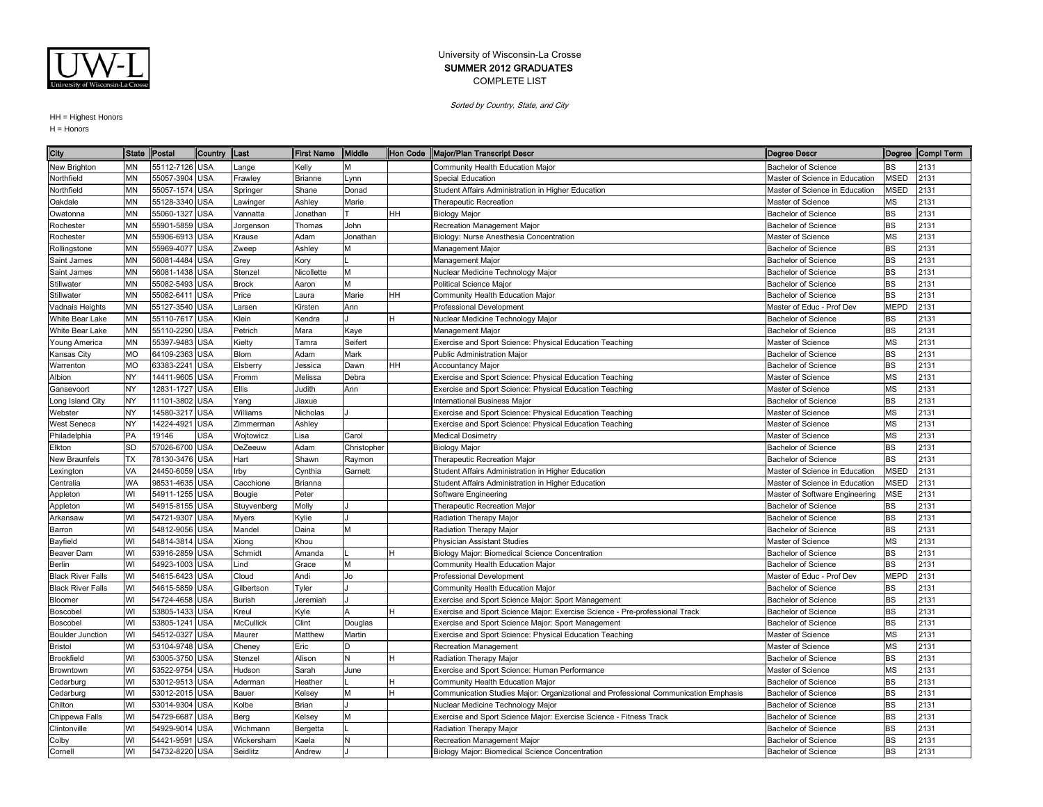

Sorted by Country, State, and City

| City                     | <b>State</b> | Postal         | Country    | <b>ILast</b>     | <b>First Name</b> | Middle      |    | Hon Code Major/Plan Transcript Descr                                                | <b>Degree Descr</b>            |             | Degree Compl Term |
|--------------------------|--------------|----------------|------------|------------------|-------------------|-------------|----|-------------------------------------------------------------------------------------|--------------------------------|-------------|-------------------|
| New Brighton             | <b>MN</b>    | 55112-7126 USA |            | ange             | Kelly             |             |    | Community Health Education Major                                                    | <b>Bachelor of Science</b>     | BS          | 2131              |
| Northfield               | MN           | 55057-3904     | <b>USA</b> | Frawley          | <b>Brianne</b>    | -ynn        |    | Special Education                                                                   | Master of Science in Education | <b>MSED</b> | 2131              |
| Northfield               | <b>MN</b>    | 55057-1574 USA |            | Springer         | Shane             | Donad       |    | Student Affairs Administration in Higher Education                                  | Master of Science in Education | <b>MSED</b> | 2131              |
| Oakdale                  | <b>MN</b>    | 55128-3340 USA |            | Lawinger         | Ashley            | Marie       |    | <b>Therapeutic Recreation</b>                                                       | Master of Science              | MS          | 2131              |
| Owatonna                 | <b>MN</b>    | 55060-1327     | <b>USA</b> | Vannatta         | Jonathan          |             | HH | <b>Biology Major</b>                                                                | Bachelor of Science            | <b>BS</b>   | 2131              |
| Rochester                | <b>MN</b>    | 55901-5859 USA |            | Jorgenson        | Thomas            | John        |    | Recreation Management Major                                                         | <b>Bachelor of Science</b>     | <b>BS</b>   | 2131              |
| Rochester                | <b>MN</b>    | 55906-6913 USA |            | Krause           | Adam              | Jonathan    |    | Biology: Nurse Anesthesia Concentration                                             | Master of Science              | <b>MS</b>   | 2131              |
| Rollingstone             | <b>MN</b>    | 55969-4077     | <b>USA</b> | Zweep            | Ashley            |             |    | Management Major                                                                    | <b>Bachelor of Science</b>     | BS          | 2131              |
| Saint James              | <b>MN</b>    | 56081-4484     | <b>USA</b> | Grey             | Kory              |             |    | Management Major                                                                    | <b>Bachelor of Science</b>     | <b>BS</b>   | 2131              |
| Saint James              | <b>MN</b>    | 56081-1438     | <b>USA</b> | Stenzel          | Nicollette        | м           |    | Nuclear Medicine Technology Major                                                   | <b>Bachelor of Science</b>     | BS          | 2131              |
| Stillwater               | MN           | 55082-5493     | <b>USA</b> | <b>Brock</b>     | Aaron             | M           |    | Political Science Major                                                             | <b>Bachelor of Science</b>     | <b>BS</b>   | 2131              |
| Stillwater               | <b>MN</b>    | 55082-6411     | <b>USA</b> | Price            | Laura             | Marie       | HH | Community Health Education Major                                                    | <b>Bachelor of Science</b>     | <b>BS</b>   | 2131              |
| Vadnais Heights          | <b>MN</b>    | 55127-3540 USA |            | Larsen           | Kirsten           | Ann         |    | Professional Development                                                            | Master of Educ - Prof Dev      | <b>MEPD</b> | 2131              |
| White Bear Lake          | MN           | 55110-7617 USA |            | Klein            | Kendra            |             | H  | Nuclear Medicine Technology Major                                                   | <b>Bachelor of Science</b>     | BS          | 2131              |
| White Bear Lake          | <b>MN</b>    | 55110-2290 USA |            | Petrich          | Mara              | Kaye        |    | Management Major                                                                    | <b>Bachelor of Science</b>     | <b>BS</b>   | 2131              |
| Young America            | MN           | 55397-9483 USA |            | Kielty           | Tamra             | Seifert     |    | Exercise and Sport Science: Physical Education Teaching                             | Master of Science              | <b>MS</b>   | 2131              |
| Kansas City              | <b>MO</b>    | 64109-2363 USA |            | Blom             | Adam              | Mark        |    | <b>Public Administration Major</b>                                                  | <b>Bachelor of Science</b>     | BS          | 2131              |
| Warrenton                | <b>MO</b>    | 63383-2241     | <b>USA</b> | Elsberry         | Jessica           | Dawn        | HH | <b>Accountancy Major</b>                                                            | <b>Bachelor of Science</b>     | <b>BS</b>   | 2131              |
| Albion                   | NY           | 14411-9605     | <b>USA</b> | Fromm            | Melissa           | Debra       |    | Exercise and Sport Science: Physical Education Teaching                             | Master of Science              | <b>MS</b>   | 2131              |
| Gansevoort               | NY           | 12831-1727     | <b>USA</b> | Ellis            | Judith            | Ann         |    | Exercise and Sport Science: Physical Education Teaching                             | Master of Science              | <b>MS</b>   | 2131              |
| Long Island City         | <b>NY</b>    | 11101-3802 USA |            | Yang             | Jiaxue            |             |    | <b>International Business Maior</b>                                                 | <b>Bachelor of Science</b>     | <b>BS</b>   | 2131              |
| Webster                  | NY           | 14580-3217     | <b>USA</b> | Williams         | Nicholas          |             |    | Exercise and Sport Science: Physical Education Teaching                             | Master of Science              | <b>MS</b>   | 2131              |
| West Seneca              | NY           | 14224-4921     | <b>USA</b> | Zimmerman        | Ashley            |             |    | Exercise and Sport Science: Physical Education Teaching                             | Master of Science              | <b>MS</b>   | 2131              |
| Philadelphia             | PA           | 19146          | <b>USA</b> | Wojtowicz        | Lisa              | Carol       |    | <b>Medical Dosimetry</b>                                                            | Master of Science              | <b>MS</b>   | 2131              |
| Elkton                   | SD           | 57026-6700 USA |            | DeZeeuw          | Adam              | Christopher |    | <b>Biology Major</b>                                                                | <b>Bachelor of Science</b>     | BS          | 2131              |
| New Braunfels            | <b>TX</b>    | 78130-3476     | <b>USA</b> | Hart             | Shawn             | Raymon      |    | Therapeutic Recreation Major                                                        | <b>Bachelor of Science</b>     | BS          | 2131              |
| _exington                | VA           | 24450-6059 USA |            | Irby             | Cynthia           | Garnett     |    | Student Affairs Administration in Higher Education                                  | Master of Science in Education | <b>MSED</b> | 2131              |
| Centralia                | <b>WA</b>    | 98531-4635     | <b>USA</b> | Cacchione        | Brianna           |             |    | Student Affairs Administration in Higher Education                                  | Master of Science in Education | <b>MSED</b> | 2131              |
| Appleton                 | WI           | 54911-1255     | <b>USA</b> | Bougie           | Peter             |             |    | Software Engineering                                                                | Master of Software Engineering | <b>MSE</b>  | 2131              |
| Appleton                 | WI           | 54915-8155 USA |            | Stuyvenberg      | Molly             |             |    | <b>Therapeutic Recreation Major</b>                                                 | <b>Bachelor of Science</b>     | BS          | 2131              |
| Arkansaw                 | WI           | 54721-9307     | <b>USA</b> | Myers            | Kylie             |             |    | Radiation Therapy Major                                                             | <b>Bachelor of Science</b>     | <b>BS</b>   | 2131              |
| Barron                   | WI           | 54812-9056 USA |            | Mandel           | Daina             | М           |    | Radiation Therapy Major                                                             | <b>Bachelor of Science</b>     | <b>BS</b>   | 2131              |
| Bayfield                 | WI           | 54814-3814     | <b>USA</b> | Xiong            | Khou              |             |    | <b>Physician Assistant Studies</b>                                                  | Master of Science              | <b>MS</b>   | 2131              |
| Beaver Dam               | WI           | 53916-2859 USA |            | Schmidt          | Amanda            |             |    | Biology Major: Biomedical Science Concentration                                     | Bachelor of Science            | BS          | 2131              |
| Berlin                   | WI           | 54923-1003     | <b>USA</b> | Lind             | Grace             |             |    | Community Health Education Major                                                    | <b>Bachelor of Science</b>     | <b>BS</b>   | 2131              |
| <b>Black River Falls</b> | WI           | 54615-6423     | <b>USA</b> | Cloud            | Andi              | Jo          |    | <b>Professional Development</b>                                                     | Master of Educ - Prof Dev      | <b>MEPD</b> | 2131              |
| <b>Black River Falls</b> | WI           | 54615-5859     | <b>USA</b> | Gilbertson       | Tyler             |             |    | Community Health Education Major                                                    | <b>Bachelor of Science</b>     | BS          | 2131              |
| Bloomer                  | WI           | 54724-4658 USA |            | <b>Burish</b>    | Jeremiah          |             |    | Exercise and Sport Science Major: Sport Management                                  | <b>Bachelor of Science</b>     | <b>BS</b>   | 2131              |
| Boscobel                 | WI           | 53805-1433 USA |            | Kreul            | Kyle              |             |    | Exercise and Sport Science Major: Exercise Science - Pre-professional Track         | <b>Bachelor of Science</b>     | <b>BS</b>   | 2131              |
| Boscobel                 | WI           | 53805-1241     | <b>USA</b> | <b>McCullick</b> | Clint             | Douglas     |    | Exercise and Sport Science Major: Sport Management                                  | <b>Bachelor of Science</b>     | <b>BS</b>   | 2131              |
| <b>Boulder Junction</b>  | WI           | 54512-0327     | <b>USA</b> | Maurer           | Matthew           | Martin      |    | Exercise and Sport Science: Physical Education Teaching                             | Master of Science              | <b>MS</b>   | 2131              |
| <b>Bristol</b>           | WI           | 53104-9748 USA |            | Cheney           | Eric              |             |    | <b>Recreation Management</b>                                                        | Master of Science              | MS          | 2131              |
| Brookfield               | WI           | 53005-3750     | <b>USA</b> | Stenzel          | Alison            | N           | H  | Radiation Therapy Major                                                             | <b>Bachelor of Science</b>     | <b>BS</b>   | 2131              |
| Browntown                | WI           | 53522-9754     | <b>USA</b> | Hudson           | Sarah             | June        |    | Exercise and Sport Science: Human Performance                                       | Master of Science              | <b>MS</b>   | 2131              |
| Cedarburg                | WI           | 53012-9513 USA |            | Aderman          | Heather           |             |    | Community Health Education Major                                                    | <b>Bachelor of Science</b>     | <b>BS</b>   | 2131              |
| Cedarburg                | WI           | 53012-2015 USA |            | Bauer            | Kelsey            | М           | н  | Communication Studies Major: Organizational and Professional Communication Emphasis | <b>Bachelor of Science</b>     | <b>BS</b>   | 2131              |
| Chilton                  | WI           | 53014-9304     | <b>USA</b> | Kolbe            | <b>Brian</b>      |             |    | Nuclear Medicine Technology Major                                                   | Bachelor of Science            | <b>BS</b>   | 2131              |
| Chippewa Falls           | WI           | 54729-6687     | <b>USA</b> | Berg             | Kelsey            | м           |    | Exercise and Sport Science Major: Exercise Science - Fitness Track                  | <b>Bachelor of Science</b>     | <b>BS</b>   | 2131              |
| Clintonville             | WI           | 54929-9014     | <b>USA</b> | Wichmann         | Bergetta          |             |    | Radiation Therapy Major                                                             | <b>Bachelor of Science</b>     | BS          | 2131              |
| Colby                    | WI           | 54421-9591     | <b>USA</b> | Wickersham       | Kaela             |             |    | Recreation Management Major                                                         | <b>Bachelor of Science</b>     | <b>BS</b>   | 2131              |
| Cornell                  | WI           | 54732-8220 USA |            | Seidlitz         | Andrew            |             |    | Biology Major: Biomedical Science Concentration                                     | <b>Bachelor of Science</b>     | <b>BS</b>   | 2131              |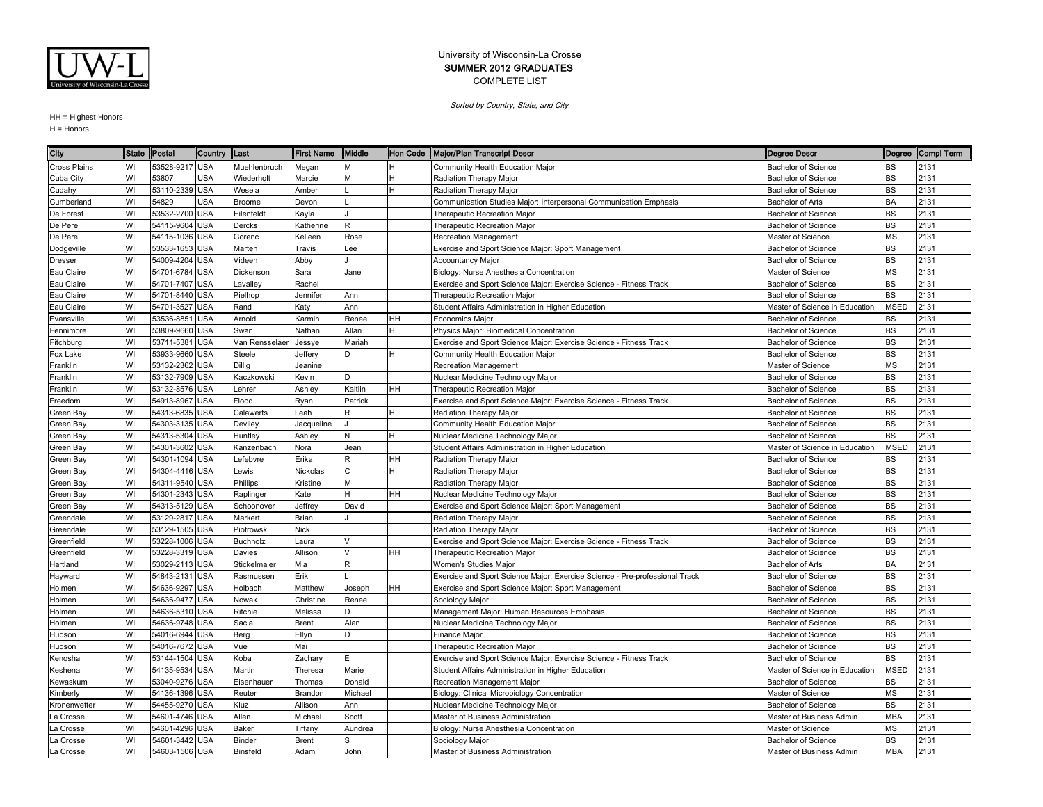

Sorted by Country, State, and City

| 53528-9217 USA<br>Community Health Education Major<br><b>Bachelor of Science</b><br>WI<br>Muehlenbruch<br>Megan<br>BS<br>2131<br>м<br>53807<br>USA<br>Cuba City<br>WI<br>Wiederholt<br>Marcie<br>Radiation Therapy Major<br><b>Bachelor of Science</b><br>BS<br>2131<br>53110-2339 USA<br>WI<br><b>BS</b><br>2131<br>Wesela<br>Amber<br><b>Bachelor of Science</b><br>Cudahy<br>Radiation Therapy Major<br>54829<br><b>USA</b><br><b>BA</b><br>2131<br>WI<br>Broome<br>Bachelor of Arts<br>Devon<br>Communication Studies Major: Interpersonal Communication Emphasis<br>Cumberland<br>WI<br>53532-2700 USA<br><b>BS</b><br>2131<br>De Forest<br>Eilenfeldt<br>Kayla<br><b>Therapeutic Recreation Major</b><br>Bachelor of Science<br>WI<br><b>BS</b><br>2131<br>De Pere<br>54115-9604<br><b>USA</b><br>Dercks<br>Katherine<br>R.<br>Therapeutic Recreation Major<br><b>Bachelor of Science</b><br>WI<br><b>MS</b><br>54115-1036 USA<br>2131<br>De Pere<br>Gorenc<br>Kelleen<br>Rose<br>Recreation Management<br>Master of Science<br>WI<br>53533-1653 USA<br><b>BS</b><br>2131<br>Dodgeville<br>Marten<br>Lee<br>Exercise and Sport Science Major: Sport Management<br>Bachelor of Science<br>Travis<br><b>BS</b><br>2131<br>WI<br>54009-4204<br><b>USA</b><br>Videen<br>Abby<br><b>Bachelor of Science</b><br>Accountancy Major<br>Dresser<br>WI<br><b>MS</b><br>2131<br>Eau Claire<br>54701-6784<br><b>USA</b><br>Dickenson<br>Jane<br>Biology: Nurse Anesthesia Concentration<br>Master of Science<br>Sara<br><b>USA</b><br>2131<br>WI<br>54701-7407<br>BS<br>Eau Claire<br>Rachel<br>Exercise and Sport Science Major: Exercise Science - Fitness Track<br><b>Bachelor of Science</b><br>Lavalley<br>WI<br>54701-8440 USA<br><b>BS</b><br>2131<br>Eau Claire<br>Pielhop<br>Ann<br>Therapeutic Recreation Major<br><b>Bachelor of Science</b><br>Jennifer<br>WI<br>54701-3527<br><b>USA</b><br><b>MSED</b><br>2131<br>Eau Claire<br>Rand<br>Katy<br>Ann<br>Student Affairs Administration in Higher Education<br>Master of Science in Education<br>WI<br>53536-8851<br><b>USA</b><br>HH<br>BS<br>2131<br>Evansville<br>Arnold<br>Karmin<br>Renee<br><b>Economics Major</b><br><b>Bachelor of Science</b><br>WI<br>53809-9660 USA<br><b>BS</b><br>2131<br>Swan<br>Nathan<br>Allan<br>H<br>Physics Major: Biomedical Concentration<br>Bachelor of Science<br>Fennimore<br><b>USA</b><br><b>BS</b><br>2131<br>WI<br>53711-5381<br>Mariah<br>Fitchburg<br>Van Rensselaer<br>Jessye<br>Exercise and Sport Science Major: Exercise Science - Fitness Track<br><b>Bachelor of Science</b><br>WI<br>53933-9660 USA<br>Steele<br>Community Health Education Major<br>BS<br>2131<br>Fox Lake<br>Jeffery<br>D<br><b>Bachelor of Science</b><br>WI<br><b>USA</b><br>Dillig<br><b>MS</b><br>2131<br>Franklin<br>53132-2362<br>Recreation Management<br>Master of Science<br>Jeanine<br>WI<br>53132-7909<br><b>USA</b><br>D<br><b>BS</b><br>2131<br>Nuclear Medicine Technology Major<br><b>Bachelor of Science</b><br>Franklin<br>Kaczkowski<br>Kevin<br>WI<br><b>BS</b><br>2131<br>53132-8576 USA<br>Lehrer<br>Ashley<br>Kaitlin<br>HH<br>Franklin<br>Therapeutic Recreation Major<br><b>Bachelor of Science</b><br>WI<br>BS<br>54913-8967<br><b>USA</b><br>Flood<br>Exercise and Sport Science Major: Exercise Science - Fitness Track<br>2131<br>Freedom<br>Ryan<br>Patrick<br>Bachelor of Science<br>WI<br><b>BS</b><br>2131<br>54313-6835 USA<br>Calawerts<br>Leah<br>Radiation Therapy Major<br>Green Bay<br>R<br><b>Bachelor of Science</b><br>WI<br><b>BS</b><br>54303-3135 USA<br>Community Health Education Major<br>2131<br>Deviley<br>Jacqueline<br>Bachelor of Science<br>Green Bay<br>WI<br>54313-5304 USA<br><b>BS</b><br>2131<br>Huntley<br>Ashley<br>N<br>Nuclear Medicine Technology Major<br><b>Bachelor of Science</b><br>Green Bay<br>54301-3602 USA<br><b>MSED</b><br>2131<br>WI<br>Jean<br>Student Affairs Administration in Higher Education<br>Master of Science in Education<br>Green Bay<br>Kanzenbach<br>Nora<br>WI<br>54301-1094<br><b>USA</b><br>_efebvre<br>Erika<br>HН<br>Radiation Therapy Major<br><b>Bachelor of Science</b><br>BS<br>2131<br>Green Bay<br>2131<br>WI<br>54304-4416 USA<br>Nickolas<br>BS<br>Lewis<br>Radiation Therapy Major<br><b>Bachelor of Science</b><br>Green Bay<br>WI<br>54311-9540 USA<br>Phillips<br>M<br><b>BS</b><br>2131<br>Green Bay<br>Kristine<br>Radiation Therapy Major<br><b>Bachelor of Science</b><br>WI<br>HH<br><b>BS</b><br>2131<br>54301-2343 USA<br>Raplinger<br>Kate<br>H.<br>Nuclear Medicine Technology Major<br><b>Bachelor of Science</b><br>Green Bay<br><b>BS</b><br>WI<br>54313-5129 USA<br>2131<br>Green Bay<br>Schoonover<br>Jeffrey<br>David<br>Exercise and Sport Science Major: Sport Management<br><b>Bachelor of Science</b><br><b>BS</b><br>WI<br>53129-2817<br><b>USA</b><br>2131<br>Markert<br><b>Brian</b><br>Radiation Therapy Major<br>Bachelor of Science<br>Greendale<br>WI<br>53129-1505 USA<br><b>BS</b><br>2131<br><b>Nick</b><br>Piotrowski<br>Radiation Therapy Major<br><b>Bachelor of Science</b><br>Greendale<br>WI<br>53228-1006 USA<br><b>Buchholz</b><br>BS<br>2131<br>Greenfield<br>Laura<br>Exercise and Sport Science Major: Exercise Science - Fitness Track<br><b>Bachelor of Science</b><br>BS<br>WI<br>53228-3319 USA<br>HН<br>2131<br>Davies<br>Allison<br><b>Therapeutic Recreation Major</b><br><b>Bachelor of Science</b><br>Greenfield<br>WI<br>53029-2113<br><b>USA</b><br>R<br><b>BA</b><br>2131<br>Stickelmaier<br>Mia<br><b>Bachelor of Arts</b><br>Hartland<br>Women's Studies Maior<br>WI<br><b>BS</b><br>2131<br>54843-2131<br><b>USA</b><br>Erik<br>Exercise and Sport Science Major: Exercise Science - Pre-professional Track<br><b>Bachelor of Science</b><br>Rasmussen<br>Hayward<br>WI<br><b>BS</b><br>54636-9297<br><b>USA</b><br>Matthew<br>Exercise and Sport Science Major: Sport Management<br>2131<br>Holmen<br>Holbach<br>Joseph<br>HH<br>Bachelor of Science<br>WI<br><b>USA</b><br><b>BS</b><br>2131<br>54636-9477<br>Nowak<br>Christine<br>Renee<br>Bachelor of Science<br>Holmen<br>Sociology Major<br><b>BS</b><br>WI<br>54636-5310 USA<br>Management Major: Human Resources Emphasis<br>2131<br>Ritchie<br>Melissa<br><b>Bachelor of Science</b><br>Holmen<br>D<br>WI<br>54636-9748 USA<br>Alan<br>Nuclear Medicine Technology Major<br><b>BS</b><br>2131<br>Sacia<br><b>Brent</b><br>Bachelor of Science<br>Holmen<br>54016-6944<br><b>USA</b><br><b>BS</b><br>2131<br>WI<br>Berg<br>Finance Major<br><b>Bachelor of Science</b><br>Hudson<br>Ellyn<br>D<br>WI<br><b>BS</b><br>2131<br>54016-7672<br><b>USA</b><br>Vue<br>Mai<br><b>Therapeutic Recreation Major</b><br>Hudson<br><b>Bachelor of Science</b><br>WI<br><b>USA</b><br>Koba<br><b>BS</b><br>2131<br>53144-1504<br>Exercise and Sport Science Major: Exercise Science - Fitness Track<br><b>Bachelor of Science</b><br>Zachary<br>Kenosha<br>WI<br>54135-9534<br><b>USA</b><br>Martin<br><b>MSED</b><br>2131<br>Marie<br>Student Affairs Administration in Higher Education<br>Master of Science in Education<br>Keshena<br>Theresa<br>WI<br>53040-9276 USA<br>2131<br>Eisenhauer<br>Donald<br>Recreation Management Major<br><b>Bachelor of Science</b><br><b>BS</b><br>Kewaskum<br>Thomas<br>WI<br>54136-1396 USA<br>MS<br>2131<br>Reuter<br>Brandon<br>Michael<br>Biology: Clinical Microbiology Concentration<br>Master of Science<br>Kimberly<br>WI<br>54455-9270 USA<br><b>BS</b><br>2131<br>Kluz<br>Allison<br>Ann<br>Bachelor of Science<br>Kronenwetter<br>Nuclear Medicine Technology Major<br>54601-4746 USA<br>2131<br>WI<br>Allen<br>Michael<br>Master of Business Administration<br>Master of Business Admin<br><b>MBA</b><br>La Crosse<br>Scott<br>WI<br>54601-4296<br><b>USA</b><br>Baker<br>Master of Science<br>MS<br>2131<br>a Crosse<br>Tiffany<br>Aundrea<br>Biology: Nurse Anesthesia Concentration<br>WI<br>54601-3442 USA<br>Binder<br>2131<br><b>Brent</b><br><b>Bachelor of Science</b><br><b>BS</b><br>La Crosse<br>Sociology Major<br>54603-1506 USA | City         | <b>State</b> | Postal | Country Last |                 | <b>First Name</b> | Middle | Hon Code Major/Plan Transcript Descr | <b>Degree Descr</b>      |            | Degree Compl Term |
|--------------------------------------------------------------------------------------------------------------------------------------------------------------------------------------------------------------------------------------------------------------------------------------------------------------------------------------------------------------------------------------------------------------------------------------------------------------------------------------------------------------------------------------------------------------------------------------------------------------------------------------------------------------------------------------------------------------------------------------------------------------------------------------------------------------------------------------------------------------------------------------------------------------------------------------------------------------------------------------------------------------------------------------------------------------------------------------------------------------------------------------------------------------------------------------------------------------------------------------------------------------------------------------------------------------------------------------------------------------------------------------------------------------------------------------------------------------------------------------------------------------------------------------------------------------------------------------------------------------------------------------------------------------------------------------------------------------------------------------------------------------------------------------------------------------------------------------------------------------------------------------------------------------------------------------------------------------------------------------------------------------------------------------------------------------------------------------------------------------------------------------------------------------------------------------------------------------------------------------------------------------------------------------------------------------------------------------------------------------------------------------------------------------------------------------------------------------------------------------------------------------------------------------------------------------------------------------------------------------------------------------------------------------------------------------------------------------------------------------------------------------------------------------------------------------------------------------------------------------------------------------------------------------------------------------------------------------------------------------------------------------------------------------------------------------------------------------------------------------------------------------------------------------------------------------------------------------------------------------------------------------------------------------------------------------------------------------------------------------------------------------------------------------------------------------------------------------------------------------------------------------------------------------------------------------------------------------------------------------------------------------------------------------------------------------------------------------------------------------------------------------------------------------------------------------------------------------------------------------------------------------------------------------------------------------------------------------------------------------------------------------------------------------------------------------------------------------------------------------------------------------------------------------------------------------------------------------------------------------------------------------------------------------------------------------------------------------------------------------------------------------------------------------------------------------------------------------------------------------------------------------------------------------------------------------------------------------------------------------------------------------------------------------------------------------------------------------------------------------------------------------------------------------------------------------------------------------------------------------------------------------------------------------------------------------------------------------------------------------------------------------------------------------------------------------------------------------------------------------------------------------------------------------------------------------------------------------------------------------------------------------------------------------------------------------------------------------------------------------------------------------------------------------------------------------------------------------------------------------------------------------------------------------------------------------------------------------------------------------------------------------------------------------------------------------------------------------------------------------------------------------------------------------------------------------------------------------------------------------------------------------------------------------------------------------------------------------------------------------------------------------------------------------------------------------------------------------------------------------------------------------------------------------------------------------------------------------------------------------------------------------------------------------------------------------------------------------------------------------------------------------------------------------------------------------------------------------------------------------------------------------------------------------------------------------------------------------------------------------------------------------------------------------------------------------------------------------------------------------------------------------------------------------------------------------------------------------------------------------------------------------------------------------------------------------------------------------------------------------------------------------------------------------------------------------------------------------------------------------------------------------------------------------------------------------------------------------------------------------------------------------------------------------------------------------------------------------------------------------------------------------------------------------------------------------------------------------------------------------------------------------------------------------------------------------------------------------------------------------------------------------------------------------------------------------------------------------------------------------------------------------------------------------------------------------------------------------------------------------------------------------------------------------------------------------------------------------------------------------------------------------------------------------------------------------------------------------------|--------------|--------------|--------|--------------|-----------------|-------------------|--------|--------------------------------------|--------------------------|------------|-------------------|
|                                                                                                                                                                                                                                                                                                                                                                                                                                                                                                                                                                                                                                                                                                                                                                                                                                                                                                                                                                                                                                                                                                                                                                                                                                                                                                                                                                                                                                                                                                                                                                                                                                                                                                                                                                                                                                                                                                                                                                                                                                                                                                                                                                                                                                                                                                                                                                                                                                                                                                                                                                                                                                                                                                                                                                                                                                                                                                                                                                                                                                                                                                                                                                                                                                                                                                                                                                                                                                                                                                                                                                                                                                                                                                                                                                                                                                                                                                                                                                                                                                                                                                                                                                                                                                                                                                                                                                                                                                                                                                                                                                                                                                                                                                                                                                                                                                                                                                                                                                                                                                                                                                                                                                                                                                                                                                                                                                                                                                                                                                                                                                                                                                                                                                                                                                                                                                                                                                                                                                                                                                                                                                                                                                                                                                                                                                                                                                                                                                                                                                                                                                                                                                                                                                                                                                                                                                                                                                                                                                                                                                                                                                                                                                                                                                                                                                                                                                                                                                                                                                                                                                                                                                                                                                                                                                                                                                                                                                                                                                                                                                                                                            | Cross Plains |              |        |              |                 |                   |        |                                      |                          |            |                   |
|                                                                                                                                                                                                                                                                                                                                                                                                                                                                                                                                                                                                                                                                                                                                                                                                                                                                                                                                                                                                                                                                                                                                                                                                                                                                                                                                                                                                                                                                                                                                                                                                                                                                                                                                                                                                                                                                                                                                                                                                                                                                                                                                                                                                                                                                                                                                                                                                                                                                                                                                                                                                                                                                                                                                                                                                                                                                                                                                                                                                                                                                                                                                                                                                                                                                                                                                                                                                                                                                                                                                                                                                                                                                                                                                                                                                                                                                                                                                                                                                                                                                                                                                                                                                                                                                                                                                                                                                                                                                                                                                                                                                                                                                                                                                                                                                                                                                                                                                                                                                                                                                                                                                                                                                                                                                                                                                                                                                                                                                                                                                                                                                                                                                                                                                                                                                                                                                                                                                                                                                                                                                                                                                                                                                                                                                                                                                                                                                                                                                                                                                                                                                                                                                                                                                                                                                                                                                                                                                                                                                                                                                                                                                                                                                                                                                                                                                                                                                                                                                                                                                                                                                                                                                                                                                                                                                                                                                                                                                                                                                                                                                                            |              |              |        |              |                 |                   |        |                                      |                          |            |                   |
|                                                                                                                                                                                                                                                                                                                                                                                                                                                                                                                                                                                                                                                                                                                                                                                                                                                                                                                                                                                                                                                                                                                                                                                                                                                                                                                                                                                                                                                                                                                                                                                                                                                                                                                                                                                                                                                                                                                                                                                                                                                                                                                                                                                                                                                                                                                                                                                                                                                                                                                                                                                                                                                                                                                                                                                                                                                                                                                                                                                                                                                                                                                                                                                                                                                                                                                                                                                                                                                                                                                                                                                                                                                                                                                                                                                                                                                                                                                                                                                                                                                                                                                                                                                                                                                                                                                                                                                                                                                                                                                                                                                                                                                                                                                                                                                                                                                                                                                                                                                                                                                                                                                                                                                                                                                                                                                                                                                                                                                                                                                                                                                                                                                                                                                                                                                                                                                                                                                                                                                                                                                                                                                                                                                                                                                                                                                                                                                                                                                                                                                                                                                                                                                                                                                                                                                                                                                                                                                                                                                                                                                                                                                                                                                                                                                                                                                                                                                                                                                                                                                                                                                                                                                                                                                                                                                                                                                                                                                                                                                                                                                                                            |              |              |        |              |                 |                   |        |                                      |                          |            |                   |
|                                                                                                                                                                                                                                                                                                                                                                                                                                                                                                                                                                                                                                                                                                                                                                                                                                                                                                                                                                                                                                                                                                                                                                                                                                                                                                                                                                                                                                                                                                                                                                                                                                                                                                                                                                                                                                                                                                                                                                                                                                                                                                                                                                                                                                                                                                                                                                                                                                                                                                                                                                                                                                                                                                                                                                                                                                                                                                                                                                                                                                                                                                                                                                                                                                                                                                                                                                                                                                                                                                                                                                                                                                                                                                                                                                                                                                                                                                                                                                                                                                                                                                                                                                                                                                                                                                                                                                                                                                                                                                                                                                                                                                                                                                                                                                                                                                                                                                                                                                                                                                                                                                                                                                                                                                                                                                                                                                                                                                                                                                                                                                                                                                                                                                                                                                                                                                                                                                                                                                                                                                                                                                                                                                                                                                                                                                                                                                                                                                                                                                                                                                                                                                                                                                                                                                                                                                                                                                                                                                                                                                                                                                                                                                                                                                                                                                                                                                                                                                                                                                                                                                                                                                                                                                                                                                                                                                                                                                                                                                                                                                                                                            |              |              |        |              |                 |                   |        |                                      |                          |            |                   |
|                                                                                                                                                                                                                                                                                                                                                                                                                                                                                                                                                                                                                                                                                                                                                                                                                                                                                                                                                                                                                                                                                                                                                                                                                                                                                                                                                                                                                                                                                                                                                                                                                                                                                                                                                                                                                                                                                                                                                                                                                                                                                                                                                                                                                                                                                                                                                                                                                                                                                                                                                                                                                                                                                                                                                                                                                                                                                                                                                                                                                                                                                                                                                                                                                                                                                                                                                                                                                                                                                                                                                                                                                                                                                                                                                                                                                                                                                                                                                                                                                                                                                                                                                                                                                                                                                                                                                                                                                                                                                                                                                                                                                                                                                                                                                                                                                                                                                                                                                                                                                                                                                                                                                                                                                                                                                                                                                                                                                                                                                                                                                                                                                                                                                                                                                                                                                                                                                                                                                                                                                                                                                                                                                                                                                                                                                                                                                                                                                                                                                                                                                                                                                                                                                                                                                                                                                                                                                                                                                                                                                                                                                                                                                                                                                                                                                                                                                                                                                                                                                                                                                                                                                                                                                                                                                                                                                                                                                                                                                                                                                                                                                            |              |              |        |              |                 |                   |        |                                      |                          |            |                   |
|                                                                                                                                                                                                                                                                                                                                                                                                                                                                                                                                                                                                                                                                                                                                                                                                                                                                                                                                                                                                                                                                                                                                                                                                                                                                                                                                                                                                                                                                                                                                                                                                                                                                                                                                                                                                                                                                                                                                                                                                                                                                                                                                                                                                                                                                                                                                                                                                                                                                                                                                                                                                                                                                                                                                                                                                                                                                                                                                                                                                                                                                                                                                                                                                                                                                                                                                                                                                                                                                                                                                                                                                                                                                                                                                                                                                                                                                                                                                                                                                                                                                                                                                                                                                                                                                                                                                                                                                                                                                                                                                                                                                                                                                                                                                                                                                                                                                                                                                                                                                                                                                                                                                                                                                                                                                                                                                                                                                                                                                                                                                                                                                                                                                                                                                                                                                                                                                                                                                                                                                                                                                                                                                                                                                                                                                                                                                                                                                                                                                                                                                                                                                                                                                                                                                                                                                                                                                                                                                                                                                                                                                                                                                                                                                                                                                                                                                                                                                                                                                                                                                                                                                                                                                                                                                                                                                                                                                                                                                                                                                                                                                                            |              |              |        |              |                 |                   |        |                                      |                          |            |                   |
|                                                                                                                                                                                                                                                                                                                                                                                                                                                                                                                                                                                                                                                                                                                                                                                                                                                                                                                                                                                                                                                                                                                                                                                                                                                                                                                                                                                                                                                                                                                                                                                                                                                                                                                                                                                                                                                                                                                                                                                                                                                                                                                                                                                                                                                                                                                                                                                                                                                                                                                                                                                                                                                                                                                                                                                                                                                                                                                                                                                                                                                                                                                                                                                                                                                                                                                                                                                                                                                                                                                                                                                                                                                                                                                                                                                                                                                                                                                                                                                                                                                                                                                                                                                                                                                                                                                                                                                                                                                                                                                                                                                                                                                                                                                                                                                                                                                                                                                                                                                                                                                                                                                                                                                                                                                                                                                                                                                                                                                                                                                                                                                                                                                                                                                                                                                                                                                                                                                                                                                                                                                                                                                                                                                                                                                                                                                                                                                                                                                                                                                                                                                                                                                                                                                                                                                                                                                                                                                                                                                                                                                                                                                                                                                                                                                                                                                                                                                                                                                                                                                                                                                                                                                                                                                                                                                                                                                                                                                                                                                                                                                                                            |              |              |        |              |                 |                   |        |                                      |                          |            |                   |
|                                                                                                                                                                                                                                                                                                                                                                                                                                                                                                                                                                                                                                                                                                                                                                                                                                                                                                                                                                                                                                                                                                                                                                                                                                                                                                                                                                                                                                                                                                                                                                                                                                                                                                                                                                                                                                                                                                                                                                                                                                                                                                                                                                                                                                                                                                                                                                                                                                                                                                                                                                                                                                                                                                                                                                                                                                                                                                                                                                                                                                                                                                                                                                                                                                                                                                                                                                                                                                                                                                                                                                                                                                                                                                                                                                                                                                                                                                                                                                                                                                                                                                                                                                                                                                                                                                                                                                                                                                                                                                                                                                                                                                                                                                                                                                                                                                                                                                                                                                                                                                                                                                                                                                                                                                                                                                                                                                                                                                                                                                                                                                                                                                                                                                                                                                                                                                                                                                                                                                                                                                                                                                                                                                                                                                                                                                                                                                                                                                                                                                                                                                                                                                                                                                                                                                                                                                                                                                                                                                                                                                                                                                                                                                                                                                                                                                                                                                                                                                                                                                                                                                                                                                                                                                                                                                                                                                                                                                                                                                                                                                                                                            |              |              |        |              |                 |                   |        |                                      |                          |            |                   |
|                                                                                                                                                                                                                                                                                                                                                                                                                                                                                                                                                                                                                                                                                                                                                                                                                                                                                                                                                                                                                                                                                                                                                                                                                                                                                                                                                                                                                                                                                                                                                                                                                                                                                                                                                                                                                                                                                                                                                                                                                                                                                                                                                                                                                                                                                                                                                                                                                                                                                                                                                                                                                                                                                                                                                                                                                                                                                                                                                                                                                                                                                                                                                                                                                                                                                                                                                                                                                                                                                                                                                                                                                                                                                                                                                                                                                                                                                                                                                                                                                                                                                                                                                                                                                                                                                                                                                                                                                                                                                                                                                                                                                                                                                                                                                                                                                                                                                                                                                                                                                                                                                                                                                                                                                                                                                                                                                                                                                                                                                                                                                                                                                                                                                                                                                                                                                                                                                                                                                                                                                                                                                                                                                                                                                                                                                                                                                                                                                                                                                                                                                                                                                                                                                                                                                                                                                                                                                                                                                                                                                                                                                                                                                                                                                                                                                                                                                                                                                                                                                                                                                                                                                                                                                                                                                                                                                                                                                                                                                                                                                                                                                            |              |              |        |              |                 |                   |        |                                      |                          |            |                   |
|                                                                                                                                                                                                                                                                                                                                                                                                                                                                                                                                                                                                                                                                                                                                                                                                                                                                                                                                                                                                                                                                                                                                                                                                                                                                                                                                                                                                                                                                                                                                                                                                                                                                                                                                                                                                                                                                                                                                                                                                                                                                                                                                                                                                                                                                                                                                                                                                                                                                                                                                                                                                                                                                                                                                                                                                                                                                                                                                                                                                                                                                                                                                                                                                                                                                                                                                                                                                                                                                                                                                                                                                                                                                                                                                                                                                                                                                                                                                                                                                                                                                                                                                                                                                                                                                                                                                                                                                                                                                                                                                                                                                                                                                                                                                                                                                                                                                                                                                                                                                                                                                                                                                                                                                                                                                                                                                                                                                                                                                                                                                                                                                                                                                                                                                                                                                                                                                                                                                                                                                                                                                                                                                                                                                                                                                                                                                                                                                                                                                                                                                                                                                                                                                                                                                                                                                                                                                                                                                                                                                                                                                                                                                                                                                                                                                                                                                                                                                                                                                                                                                                                                                                                                                                                                                                                                                                                                                                                                                                                                                                                                                                            |              |              |        |              |                 |                   |        |                                      |                          |            |                   |
|                                                                                                                                                                                                                                                                                                                                                                                                                                                                                                                                                                                                                                                                                                                                                                                                                                                                                                                                                                                                                                                                                                                                                                                                                                                                                                                                                                                                                                                                                                                                                                                                                                                                                                                                                                                                                                                                                                                                                                                                                                                                                                                                                                                                                                                                                                                                                                                                                                                                                                                                                                                                                                                                                                                                                                                                                                                                                                                                                                                                                                                                                                                                                                                                                                                                                                                                                                                                                                                                                                                                                                                                                                                                                                                                                                                                                                                                                                                                                                                                                                                                                                                                                                                                                                                                                                                                                                                                                                                                                                                                                                                                                                                                                                                                                                                                                                                                                                                                                                                                                                                                                                                                                                                                                                                                                                                                                                                                                                                                                                                                                                                                                                                                                                                                                                                                                                                                                                                                                                                                                                                                                                                                                                                                                                                                                                                                                                                                                                                                                                                                                                                                                                                                                                                                                                                                                                                                                                                                                                                                                                                                                                                                                                                                                                                                                                                                                                                                                                                                                                                                                                                                                                                                                                                                                                                                                                                                                                                                                                                                                                                                                            |              |              |        |              |                 |                   |        |                                      |                          |            |                   |
|                                                                                                                                                                                                                                                                                                                                                                                                                                                                                                                                                                                                                                                                                                                                                                                                                                                                                                                                                                                                                                                                                                                                                                                                                                                                                                                                                                                                                                                                                                                                                                                                                                                                                                                                                                                                                                                                                                                                                                                                                                                                                                                                                                                                                                                                                                                                                                                                                                                                                                                                                                                                                                                                                                                                                                                                                                                                                                                                                                                                                                                                                                                                                                                                                                                                                                                                                                                                                                                                                                                                                                                                                                                                                                                                                                                                                                                                                                                                                                                                                                                                                                                                                                                                                                                                                                                                                                                                                                                                                                                                                                                                                                                                                                                                                                                                                                                                                                                                                                                                                                                                                                                                                                                                                                                                                                                                                                                                                                                                                                                                                                                                                                                                                                                                                                                                                                                                                                                                                                                                                                                                                                                                                                                                                                                                                                                                                                                                                                                                                                                                                                                                                                                                                                                                                                                                                                                                                                                                                                                                                                                                                                                                                                                                                                                                                                                                                                                                                                                                                                                                                                                                                                                                                                                                                                                                                                                                                                                                                                                                                                                                                            |              |              |        |              |                 |                   |        |                                      |                          |            |                   |
|                                                                                                                                                                                                                                                                                                                                                                                                                                                                                                                                                                                                                                                                                                                                                                                                                                                                                                                                                                                                                                                                                                                                                                                                                                                                                                                                                                                                                                                                                                                                                                                                                                                                                                                                                                                                                                                                                                                                                                                                                                                                                                                                                                                                                                                                                                                                                                                                                                                                                                                                                                                                                                                                                                                                                                                                                                                                                                                                                                                                                                                                                                                                                                                                                                                                                                                                                                                                                                                                                                                                                                                                                                                                                                                                                                                                                                                                                                                                                                                                                                                                                                                                                                                                                                                                                                                                                                                                                                                                                                                                                                                                                                                                                                                                                                                                                                                                                                                                                                                                                                                                                                                                                                                                                                                                                                                                                                                                                                                                                                                                                                                                                                                                                                                                                                                                                                                                                                                                                                                                                                                                                                                                                                                                                                                                                                                                                                                                                                                                                                                                                                                                                                                                                                                                                                                                                                                                                                                                                                                                                                                                                                                                                                                                                                                                                                                                                                                                                                                                                                                                                                                                                                                                                                                                                                                                                                                                                                                                                                                                                                                                                            |              |              |        |              |                 |                   |        |                                      |                          |            |                   |
|                                                                                                                                                                                                                                                                                                                                                                                                                                                                                                                                                                                                                                                                                                                                                                                                                                                                                                                                                                                                                                                                                                                                                                                                                                                                                                                                                                                                                                                                                                                                                                                                                                                                                                                                                                                                                                                                                                                                                                                                                                                                                                                                                                                                                                                                                                                                                                                                                                                                                                                                                                                                                                                                                                                                                                                                                                                                                                                                                                                                                                                                                                                                                                                                                                                                                                                                                                                                                                                                                                                                                                                                                                                                                                                                                                                                                                                                                                                                                                                                                                                                                                                                                                                                                                                                                                                                                                                                                                                                                                                                                                                                                                                                                                                                                                                                                                                                                                                                                                                                                                                                                                                                                                                                                                                                                                                                                                                                                                                                                                                                                                                                                                                                                                                                                                                                                                                                                                                                                                                                                                                                                                                                                                                                                                                                                                                                                                                                                                                                                                                                                                                                                                                                                                                                                                                                                                                                                                                                                                                                                                                                                                                                                                                                                                                                                                                                                                                                                                                                                                                                                                                                                                                                                                                                                                                                                                                                                                                                                                                                                                                                                            |              |              |        |              |                 |                   |        |                                      |                          |            |                   |
|                                                                                                                                                                                                                                                                                                                                                                                                                                                                                                                                                                                                                                                                                                                                                                                                                                                                                                                                                                                                                                                                                                                                                                                                                                                                                                                                                                                                                                                                                                                                                                                                                                                                                                                                                                                                                                                                                                                                                                                                                                                                                                                                                                                                                                                                                                                                                                                                                                                                                                                                                                                                                                                                                                                                                                                                                                                                                                                                                                                                                                                                                                                                                                                                                                                                                                                                                                                                                                                                                                                                                                                                                                                                                                                                                                                                                                                                                                                                                                                                                                                                                                                                                                                                                                                                                                                                                                                                                                                                                                                                                                                                                                                                                                                                                                                                                                                                                                                                                                                                                                                                                                                                                                                                                                                                                                                                                                                                                                                                                                                                                                                                                                                                                                                                                                                                                                                                                                                                                                                                                                                                                                                                                                                                                                                                                                                                                                                                                                                                                                                                                                                                                                                                                                                                                                                                                                                                                                                                                                                                                                                                                                                                                                                                                                                                                                                                                                                                                                                                                                                                                                                                                                                                                                                                                                                                                                                                                                                                                                                                                                                                                            |              |              |        |              |                 |                   |        |                                      |                          |            |                   |
|                                                                                                                                                                                                                                                                                                                                                                                                                                                                                                                                                                                                                                                                                                                                                                                                                                                                                                                                                                                                                                                                                                                                                                                                                                                                                                                                                                                                                                                                                                                                                                                                                                                                                                                                                                                                                                                                                                                                                                                                                                                                                                                                                                                                                                                                                                                                                                                                                                                                                                                                                                                                                                                                                                                                                                                                                                                                                                                                                                                                                                                                                                                                                                                                                                                                                                                                                                                                                                                                                                                                                                                                                                                                                                                                                                                                                                                                                                                                                                                                                                                                                                                                                                                                                                                                                                                                                                                                                                                                                                                                                                                                                                                                                                                                                                                                                                                                                                                                                                                                                                                                                                                                                                                                                                                                                                                                                                                                                                                                                                                                                                                                                                                                                                                                                                                                                                                                                                                                                                                                                                                                                                                                                                                                                                                                                                                                                                                                                                                                                                                                                                                                                                                                                                                                                                                                                                                                                                                                                                                                                                                                                                                                                                                                                                                                                                                                                                                                                                                                                                                                                                                                                                                                                                                                                                                                                                                                                                                                                                                                                                                                                            |              |              |        |              |                 |                   |        |                                      |                          |            |                   |
|                                                                                                                                                                                                                                                                                                                                                                                                                                                                                                                                                                                                                                                                                                                                                                                                                                                                                                                                                                                                                                                                                                                                                                                                                                                                                                                                                                                                                                                                                                                                                                                                                                                                                                                                                                                                                                                                                                                                                                                                                                                                                                                                                                                                                                                                                                                                                                                                                                                                                                                                                                                                                                                                                                                                                                                                                                                                                                                                                                                                                                                                                                                                                                                                                                                                                                                                                                                                                                                                                                                                                                                                                                                                                                                                                                                                                                                                                                                                                                                                                                                                                                                                                                                                                                                                                                                                                                                                                                                                                                                                                                                                                                                                                                                                                                                                                                                                                                                                                                                                                                                                                                                                                                                                                                                                                                                                                                                                                                                                                                                                                                                                                                                                                                                                                                                                                                                                                                                                                                                                                                                                                                                                                                                                                                                                                                                                                                                                                                                                                                                                                                                                                                                                                                                                                                                                                                                                                                                                                                                                                                                                                                                                                                                                                                                                                                                                                                                                                                                                                                                                                                                                                                                                                                                                                                                                                                                                                                                                                                                                                                                                                            |              |              |        |              |                 |                   |        |                                      |                          |            |                   |
|                                                                                                                                                                                                                                                                                                                                                                                                                                                                                                                                                                                                                                                                                                                                                                                                                                                                                                                                                                                                                                                                                                                                                                                                                                                                                                                                                                                                                                                                                                                                                                                                                                                                                                                                                                                                                                                                                                                                                                                                                                                                                                                                                                                                                                                                                                                                                                                                                                                                                                                                                                                                                                                                                                                                                                                                                                                                                                                                                                                                                                                                                                                                                                                                                                                                                                                                                                                                                                                                                                                                                                                                                                                                                                                                                                                                                                                                                                                                                                                                                                                                                                                                                                                                                                                                                                                                                                                                                                                                                                                                                                                                                                                                                                                                                                                                                                                                                                                                                                                                                                                                                                                                                                                                                                                                                                                                                                                                                                                                                                                                                                                                                                                                                                                                                                                                                                                                                                                                                                                                                                                                                                                                                                                                                                                                                                                                                                                                                                                                                                                                                                                                                                                                                                                                                                                                                                                                                                                                                                                                                                                                                                                                                                                                                                                                                                                                                                                                                                                                                                                                                                                                                                                                                                                                                                                                                                                                                                                                                                                                                                                                                            |              |              |        |              |                 |                   |        |                                      |                          |            |                   |
|                                                                                                                                                                                                                                                                                                                                                                                                                                                                                                                                                                                                                                                                                                                                                                                                                                                                                                                                                                                                                                                                                                                                                                                                                                                                                                                                                                                                                                                                                                                                                                                                                                                                                                                                                                                                                                                                                                                                                                                                                                                                                                                                                                                                                                                                                                                                                                                                                                                                                                                                                                                                                                                                                                                                                                                                                                                                                                                                                                                                                                                                                                                                                                                                                                                                                                                                                                                                                                                                                                                                                                                                                                                                                                                                                                                                                                                                                                                                                                                                                                                                                                                                                                                                                                                                                                                                                                                                                                                                                                                                                                                                                                                                                                                                                                                                                                                                                                                                                                                                                                                                                                                                                                                                                                                                                                                                                                                                                                                                                                                                                                                                                                                                                                                                                                                                                                                                                                                                                                                                                                                                                                                                                                                                                                                                                                                                                                                                                                                                                                                                                                                                                                                                                                                                                                                                                                                                                                                                                                                                                                                                                                                                                                                                                                                                                                                                                                                                                                                                                                                                                                                                                                                                                                                                                                                                                                                                                                                                                                                                                                                                                            |              |              |        |              |                 |                   |        |                                      |                          |            |                   |
|                                                                                                                                                                                                                                                                                                                                                                                                                                                                                                                                                                                                                                                                                                                                                                                                                                                                                                                                                                                                                                                                                                                                                                                                                                                                                                                                                                                                                                                                                                                                                                                                                                                                                                                                                                                                                                                                                                                                                                                                                                                                                                                                                                                                                                                                                                                                                                                                                                                                                                                                                                                                                                                                                                                                                                                                                                                                                                                                                                                                                                                                                                                                                                                                                                                                                                                                                                                                                                                                                                                                                                                                                                                                                                                                                                                                                                                                                                                                                                                                                                                                                                                                                                                                                                                                                                                                                                                                                                                                                                                                                                                                                                                                                                                                                                                                                                                                                                                                                                                                                                                                                                                                                                                                                                                                                                                                                                                                                                                                                                                                                                                                                                                                                                                                                                                                                                                                                                                                                                                                                                                                                                                                                                                                                                                                                                                                                                                                                                                                                                                                                                                                                                                                                                                                                                                                                                                                                                                                                                                                                                                                                                                                                                                                                                                                                                                                                                                                                                                                                                                                                                                                                                                                                                                                                                                                                                                                                                                                                                                                                                                                                            |              |              |        |              |                 |                   |        |                                      |                          |            |                   |
|                                                                                                                                                                                                                                                                                                                                                                                                                                                                                                                                                                                                                                                                                                                                                                                                                                                                                                                                                                                                                                                                                                                                                                                                                                                                                                                                                                                                                                                                                                                                                                                                                                                                                                                                                                                                                                                                                                                                                                                                                                                                                                                                                                                                                                                                                                                                                                                                                                                                                                                                                                                                                                                                                                                                                                                                                                                                                                                                                                                                                                                                                                                                                                                                                                                                                                                                                                                                                                                                                                                                                                                                                                                                                                                                                                                                                                                                                                                                                                                                                                                                                                                                                                                                                                                                                                                                                                                                                                                                                                                                                                                                                                                                                                                                                                                                                                                                                                                                                                                                                                                                                                                                                                                                                                                                                                                                                                                                                                                                                                                                                                                                                                                                                                                                                                                                                                                                                                                                                                                                                                                                                                                                                                                                                                                                                                                                                                                                                                                                                                                                                                                                                                                                                                                                                                                                                                                                                                                                                                                                                                                                                                                                                                                                                                                                                                                                                                                                                                                                                                                                                                                                                                                                                                                                                                                                                                                                                                                                                                                                                                                                                            |              |              |        |              |                 |                   |        |                                      |                          |            |                   |
|                                                                                                                                                                                                                                                                                                                                                                                                                                                                                                                                                                                                                                                                                                                                                                                                                                                                                                                                                                                                                                                                                                                                                                                                                                                                                                                                                                                                                                                                                                                                                                                                                                                                                                                                                                                                                                                                                                                                                                                                                                                                                                                                                                                                                                                                                                                                                                                                                                                                                                                                                                                                                                                                                                                                                                                                                                                                                                                                                                                                                                                                                                                                                                                                                                                                                                                                                                                                                                                                                                                                                                                                                                                                                                                                                                                                                                                                                                                                                                                                                                                                                                                                                                                                                                                                                                                                                                                                                                                                                                                                                                                                                                                                                                                                                                                                                                                                                                                                                                                                                                                                                                                                                                                                                                                                                                                                                                                                                                                                                                                                                                                                                                                                                                                                                                                                                                                                                                                                                                                                                                                                                                                                                                                                                                                                                                                                                                                                                                                                                                                                                                                                                                                                                                                                                                                                                                                                                                                                                                                                                                                                                                                                                                                                                                                                                                                                                                                                                                                                                                                                                                                                                                                                                                                                                                                                                                                                                                                                                                                                                                                                                            |              |              |        |              |                 |                   |        |                                      |                          |            |                   |
|                                                                                                                                                                                                                                                                                                                                                                                                                                                                                                                                                                                                                                                                                                                                                                                                                                                                                                                                                                                                                                                                                                                                                                                                                                                                                                                                                                                                                                                                                                                                                                                                                                                                                                                                                                                                                                                                                                                                                                                                                                                                                                                                                                                                                                                                                                                                                                                                                                                                                                                                                                                                                                                                                                                                                                                                                                                                                                                                                                                                                                                                                                                                                                                                                                                                                                                                                                                                                                                                                                                                                                                                                                                                                                                                                                                                                                                                                                                                                                                                                                                                                                                                                                                                                                                                                                                                                                                                                                                                                                                                                                                                                                                                                                                                                                                                                                                                                                                                                                                                                                                                                                                                                                                                                                                                                                                                                                                                                                                                                                                                                                                                                                                                                                                                                                                                                                                                                                                                                                                                                                                                                                                                                                                                                                                                                                                                                                                                                                                                                                                                                                                                                                                                                                                                                                                                                                                                                                                                                                                                                                                                                                                                                                                                                                                                                                                                                                                                                                                                                                                                                                                                                                                                                                                                                                                                                                                                                                                                                                                                                                                                                            |              |              |        |              |                 |                   |        |                                      |                          |            |                   |
|                                                                                                                                                                                                                                                                                                                                                                                                                                                                                                                                                                                                                                                                                                                                                                                                                                                                                                                                                                                                                                                                                                                                                                                                                                                                                                                                                                                                                                                                                                                                                                                                                                                                                                                                                                                                                                                                                                                                                                                                                                                                                                                                                                                                                                                                                                                                                                                                                                                                                                                                                                                                                                                                                                                                                                                                                                                                                                                                                                                                                                                                                                                                                                                                                                                                                                                                                                                                                                                                                                                                                                                                                                                                                                                                                                                                                                                                                                                                                                                                                                                                                                                                                                                                                                                                                                                                                                                                                                                                                                                                                                                                                                                                                                                                                                                                                                                                                                                                                                                                                                                                                                                                                                                                                                                                                                                                                                                                                                                                                                                                                                                                                                                                                                                                                                                                                                                                                                                                                                                                                                                                                                                                                                                                                                                                                                                                                                                                                                                                                                                                                                                                                                                                                                                                                                                                                                                                                                                                                                                                                                                                                                                                                                                                                                                                                                                                                                                                                                                                                                                                                                                                                                                                                                                                                                                                                                                                                                                                                                                                                                                                                            |              |              |        |              |                 |                   |        |                                      |                          |            |                   |
|                                                                                                                                                                                                                                                                                                                                                                                                                                                                                                                                                                                                                                                                                                                                                                                                                                                                                                                                                                                                                                                                                                                                                                                                                                                                                                                                                                                                                                                                                                                                                                                                                                                                                                                                                                                                                                                                                                                                                                                                                                                                                                                                                                                                                                                                                                                                                                                                                                                                                                                                                                                                                                                                                                                                                                                                                                                                                                                                                                                                                                                                                                                                                                                                                                                                                                                                                                                                                                                                                                                                                                                                                                                                                                                                                                                                                                                                                                                                                                                                                                                                                                                                                                                                                                                                                                                                                                                                                                                                                                                                                                                                                                                                                                                                                                                                                                                                                                                                                                                                                                                                                                                                                                                                                                                                                                                                                                                                                                                                                                                                                                                                                                                                                                                                                                                                                                                                                                                                                                                                                                                                                                                                                                                                                                                                                                                                                                                                                                                                                                                                                                                                                                                                                                                                                                                                                                                                                                                                                                                                                                                                                                                                                                                                                                                                                                                                                                                                                                                                                                                                                                                                                                                                                                                                                                                                                                                                                                                                                                                                                                                                                            |              |              |        |              |                 |                   |        |                                      |                          |            |                   |
|                                                                                                                                                                                                                                                                                                                                                                                                                                                                                                                                                                                                                                                                                                                                                                                                                                                                                                                                                                                                                                                                                                                                                                                                                                                                                                                                                                                                                                                                                                                                                                                                                                                                                                                                                                                                                                                                                                                                                                                                                                                                                                                                                                                                                                                                                                                                                                                                                                                                                                                                                                                                                                                                                                                                                                                                                                                                                                                                                                                                                                                                                                                                                                                                                                                                                                                                                                                                                                                                                                                                                                                                                                                                                                                                                                                                                                                                                                                                                                                                                                                                                                                                                                                                                                                                                                                                                                                                                                                                                                                                                                                                                                                                                                                                                                                                                                                                                                                                                                                                                                                                                                                                                                                                                                                                                                                                                                                                                                                                                                                                                                                                                                                                                                                                                                                                                                                                                                                                                                                                                                                                                                                                                                                                                                                                                                                                                                                                                                                                                                                                                                                                                                                                                                                                                                                                                                                                                                                                                                                                                                                                                                                                                                                                                                                                                                                                                                                                                                                                                                                                                                                                                                                                                                                                                                                                                                                                                                                                                                                                                                                                                            |              |              |        |              |                 |                   |        |                                      |                          |            |                   |
|                                                                                                                                                                                                                                                                                                                                                                                                                                                                                                                                                                                                                                                                                                                                                                                                                                                                                                                                                                                                                                                                                                                                                                                                                                                                                                                                                                                                                                                                                                                                                                                                                                                                                                                                                                                                                                                                                                                                                                                                                                                                                                                                                                                                                                                                                                                                                                                                                                                                                                                                                                                                                                                                                                                                                                                                                                                                                                                                                                                                                                                                                                                                                                                                                                                                                                                                                                                                                                                                                                                                                                                                                                                                                                                                                                                                                                                                                                                                                                                                                                                                                                                                                                                                                                                                                                                                                                                                                                                                                                                                                                                                                                                                                                                                                                                                                                                                                                                                                                                                                                                                                                                                                                                                                                                                                                                                                                                                                                                                                                                                                                                                                                                                                                                                                                                                                                                                                                                                                                                                                                                                                                                                                                                                                                                                                                                                                                                                                                                                                                                                                                                                                                                                                                                                                                                                                                                                                                                                                                                                                                                                                                                                                                                                                                                                                                                                                                                                                                                                                                                                                                                                                                                                                                                                                                                                                                                                                                                                                                                                                                                                                            |              |              |        |              |                 |                   |        |                                      |                          |            |                   |
|                                                                                                                                                                                                                                                                                                                                                                                                                                                                                                                                                                                                                                                                                                                                                                                                                                                                                                                                                                                                                                                                                                                                                                                                                                                                                                                                                                                                                                                                                                                                                                                                                                                                                                                                                                                                                                                                                                                                                                                                                                                                                                                                                                                                                                                                                                                                                                                                                                                                                                                                                                                                                                                                                                                                                                                                                                                                                                                                                                                                                                                                                                                                                                                                                                                                                                                                                                                                                                                                                                                                                                                                                                                                                                                                                                                                                                                                                                                                                                                                                                                                                                                                                                                                                                                                                                                                                                                                                                                                                                                                                                                                                                                                                                                                                                                                                                                                                                                                                                                                                                                                                                                                                                                                                                                                                                                                                                                                                                                                                                                                                                                                                                                                                                                                                                                                                                                                                                                                                                                                                                                                                                                                                                                                                                                                                                                                                                                                                                                                                                                                                                                                                                                                                                                                                                                                                                                                                                                                                                                                                                                                                                                                                                                                                                                                                                                                                                                                                                                                                                                                                                                                                                                                                                                                                                                                                                                                                                                                                                                                                                                                                            |              |              |        |              |                 |                   |        |                                      |                          |            |                   |
|                                                                                                                                                                                                                                                                                                                                                                                                                                                                                                                                                                                                                                                                                                                                                                                                                                                                                                                                                                                                                                                                                                                                                                                                                                                                                                                                                                                                                                                                                                                                                                                                                                                                                                                                                                                                                                                                                                                                                                                                                                                                                                                                                                                                                                                                                                                                                                                                                                                                                                                                                                                                                                                                                                                                                                                                                                                                                                                                                                                                                                                                                                                                                                                                                                                                                                                                                                                                                                                                                                                                                                                                                                                                                                                                                                                                                                                                                                                                                                                                                                                                                                                                                                                                                                                                                                                                                                                                                                                                                                                                                                                                                                                                                                                                                                                                                                                                                                                                                                                                                                                                                                                                                                                                                                                                                                                                                                                                                                                                                                                                                                                                                                                                                                                                                                                                                                                                                                                                                                                                                                                                                                                                                                                                                                                                                                                                                                                                                                                                                                                                                                                                                                                                                                                                                                                                                                                                                                                                                                                                                                                                                                                                                                                                                                                                                                                                                                                                                                                                                                                                                                                                                                                                                                                                                                                                                                                                                                                                                                                                                                                                                            |              |              |        |              |                 |                   |        |                                      |                          |            |                   |
|                                                                                                                                                                                                                                                                                                                                                                                                                                                                                                                                                                                                                                                                                                                                                                                                                                                                                                                                                                                                                                                                                                                                                                                                                                                                                                                                                                                                                                                                                                                                                                                                                                                                                                                                                                                                                                                                                                                                                                                                                                                                                                                                                                                                                                                                                                                                                                                                                                                                                                                                                                                                                                                                                                                                                                                                                                                                                                                                                                                                                                                                                                                                                                                                                                                                                                                                                                                                                                                                                                                                                                                                                                                                                                                                                                                                                                                                                                                                                                                                                                                                                                                                                                                                                                                                                                                                                                                                                                                                                                                                                                                                                                                                                                                                                                                                                                                                                                                                                                                                                                                                                                                                                                                                                                                                                                                                                                                                                                                                                                                                                                                                                                                                                                                                                                                                                                                                                                                                                                                                                                                                                                                                                                                                                                                                                                                                                                                                                                                                                                                                                                                                                                                                                                                                                                                                                                                                                                                                                                                                                                                                                                                                                                                                                                                                                                                                                                                                                                                                                                                                                                                                                                                                                                                                                                                                                                                                                                                                                                                                                                                                                            |              |              |        |              |                 |                   |        |                                      |                          |            |                   |
|                                                                                                                                                                                                                                                                                                                                                                                                                                                                                                                                                                                                                                                                                                                                                                                                                                                                                                                                                                                                                                                                                                                                                                                                                                                                                                                                                                                                                                                                                                                                                                                                                                                                                                                                                                                                                                                                                                                                                                                                                                                                                                                                                                                                                                                                                                                                                                                                                                                                                                                                                                                                                                                                                                                                                                                                                                                                                                                                                                                                                                                                                                                                                                                                                                                                                                                                                                                                                                                                                                                                                                                                                                                                                                                                                                                                                                                                                                                                                                                                                                                                                                                                                                                                                                                                                                                                                                                                                                                                                                                                                                                                                                                                                                                                                                                                                                                                                                                                                                                                                                                                                                                                                                                                                                                                                                                                                                                                                                                                                                                                                                                                                                                                                                                                                                                                                                                                                                                                                                                                                                                                                                                                                                                                                                                                                                                                                                                                                                                                                                                                                                                                                                                                                                                                                                                                                                                                                                                                                                                                                                                                                                                                                                                                                                                                                                                                                                                                                                                                                                                                                                                                                                                                                                                                                                                                                                                                                                                                                                                                                                                                                            |              |              |        |              |                 |                   |        |                                      |                          |            |                   |
|                                                                                                                                                                                                                                                                                                                                                                                                                                                                                                                                                                                                                                                                                                                                                                                                                                                                                                                                                                                                                                                                                                                                                                                                                                                                                                                                                                                                                                                                                                                                                                                                                                                                                                                                                                                                                                                                                                                                                                                                                                                                                                                                                                                                                                                                                                                                                                                                                                                                                                                                                                                                                                                                                                                                                                                                                                                                                                                                                                                                                                                                                                                                                                                                                                                                                                                                                                                                                                                                                                                                                                                                                                                                                                                                                                                                                                                                                                                                                                                                                                                                                                                                                                                                                                                                                                                                                                                                                                                                                                                                                                                                                                                                                                                                                                                                                                                                                                                                                                                                                                                                                                                                                                                                                                                                                                                                                                                                                                                                                                                                                                                                                                                                                                                                                                                                                                                                                                                                                                                                                                                                                                                                                                                                                                                                                                                                                                                                                                                                                                                                                                                                                                                                                                                                                                                                                                                                                                                                                                                                                                                                                                                                                                                                                                                                                                                                                                                                                                                                                                                                                                                                                                                                                                                                                                                                                                                                                                                                                                                                                                                                                            |              |              |        |              |                 |                   |        |                                      |                          |            |                   |
|                                                                                                                                                                                                                                                                                                                                                                                                                                                                                                                                                                                                                                                                                                                                                                                                                                                                                                                                                                                                                                                                                                                                                                                                                                                                                                                                                                                                                                                                                                                                                                                                                                                                                                                                                                                                                                                                                                                                                                                                                                                                                                                                                                                                                                                                                                                                                                                                                                                                                                                                                                                                                                                                                                                                                                                                                                                                                                                                                                                                                                                                                                                                                                                                                                                                                                                                                                                                                                                                                                                                                                                                                                                                                                                                                                                                                                                                                                                                                                                                                                                                                                                                                                                                                                                                                                                                                                                                                                                                                                                                                                                                                                                                                                                                                                                                                                                                                                                                                                                                                                                                                                                                                                                                                                                                                                                                                                                                                                                                                                                                                                                                                                                                                                                                                                                                                                                                                                                                                                                                                                                                                                                                                                                                                                                                                                                                                                                                                                                                                                                                                                                                                                                                                                                                                                                                                                                                                                                                                                                                                                                                                                                                                                                                                                                                                                                                                                                                                                                                                                                                                                                                                                                                                                                                                                                                                                                                                                                                                                                                                                                                                            |              |              |        |              |                 |                   |        |                                      |                          |            |                   |
|                                                                                                                                                                                                                                                                                                                                                                                                                                                                                                                                                                                                                                                                                                                                                                                                                                                                                                                                                                                                                                                                                                                                                                                                                                                                                                                                                                                                                                                                                                                                                                                                                                                                                                                                                                                                                                                                                                                                                                                                                                                                                                                                                                                                                                                                                                                                                                                                                                                                                                                                                                                                                                                                                                                                                                                                                                                                                                                                                                                                                                                                                                                                                                                                                                                                                                                                                                                                                                                                                                                                                                                                                                                                                                                                                                                                                                                                                                                                                                                                                                                                                                                                                                                                                                                                                                                                                                                                                                                                                                                                                                                                                                                                                                                                                                                                                                                                                                                                                                                                                                                                                                                                                                                                                                                                                                                                                                                                                                                                                                                                                                                                                                                                                                                                                                                                                                                                                                                                                                                                                                                                                                                                                                                                                                                                                                                                                                                                                                                                                                                                                                                                                                                                                                                                                                                                                                                                                                                                                                                                                                                                                                                                                                                                                                                                                                                                                                                                                                                                                                                                                                                                                                                                                                                                                                                                                                                                                                                                                                                                                                                                                            |              |              |        |              |                 |                   |        |                                      |                          |            |                   |
|                                                                                                                                                                                                                                                                                                                                                                                                                                                                                                                                                                                                                                                                                                                                                                                                                                                                                                                                                                                                                                                                                                                                                                                                                                                                                                                                                                                                                                                                                                                                                                                                                                                                                                                                                                                                                                                                                                                                                                                                                                                                                                                                                                                                                                                                                                                                                                                                                                                                                                                                                                                                                                                                                                                                                                                                                                                                                                                                                                                                                                                                                                                                                                                                                                                                                                                                                                                                                                                                                                                                                                                                                                                                                                                                                                                                                                                                                                                                                                                                                                                                                                                                                                                                                                                                                                                                                                                                                                                                                                                                                                                                                                                                                                                                                                                                                                                                                                                                                                                                                                                                                                                                                                                                                                                                                                                                                                                                                                                                                                                                                                                                                                                                                                                                                                                                                                                                                                                                                                                                                                                                                                                                                                                                                                                                                                                                                                                                                                                                                                                                                                                                                                                                                                                                                                                                                                                                                                                                                                                                                                                                                                                                                                                                                                                                                                                                                                                                                                                                                                                                                                                                                                                                                                                                                                                                                                                                                                                                                                                                                                                                                            |              |              |        |              |                 |                   |        |                                      |                          |            |                   |
|                                                                                                                                                                                                                                                                                                                                                                                                                                                                                                                                                                                                                                                                                                                                                                                                                                                                                                                                                                                                                                                                                                                                                                                                                                                                                                                                                                                                                                                                                                                                                                                                                                                                                                                                                                                                                                                                                                                                                                                                                                                                                                                                                                                                                                                                                                                                                                                                                                                                                                                                                                                                                                                                                                                                                                                                                                                                                                                                                                                                                                                                                                                                                                                                                                                                                                                                                                                                                                                                                                                                                                                                                                                                                                                                                                                                                                                                                                                                                                                                                                                                                                                                                                                                                                                                                                                                                                                                                                                                                                                                                                                                                                                                                                                                                                                                                                                                                                                                                                                                                                                                                                                                                                                                                                                                                                                                                                                                                                                                                                                                                                                                                                                                                                                                                                                                                                                                                                                                                                                                                                                                                                                                                                                                                                                                                                                                                                                                                                                                                                                                                                                                                                                                                                                                                                                                                                                                                                                                                                                                                                                                                                                                                                                                                                                                                                                                                                                                                                                                                                                                                                                                                                                                                                                                                                                                                                                                                                                                                                                                                                                                                            |              |              |        |              |                 |                   |        |                                      |                          |            |                   |
|                                                                                                                                                                                                                                                                                                                                                                                                                                                                                                                                                                                                                                                                                                                                                                                                                                                                                                                                                                                                                                                                                                                                                                                                                                                                                                                                                                                                                                                                                                                                                                                                                                                                                                                                                                                                                                                                                                                                                                                                                                                                                                                                                                                                                                                                                                                                                                                                                                                                                                                                                                                                                                                                                                                                                                                                                                                                                                                                                                                                                                                                                                                                                                                                                                                                                                                                                                                                                                                                                                                                                                                                                                                                                                                                                                                                                                                                                                                                                                                                                                                                                                                                                                                                                                                                                                                                                                                                                                                                                                                                                                                                                                                                                                                                                                                                                                                                                                                                                                                                                                                                                                                                                                                                                                                                                                                                                                                                                                                                                                                                                                                                                                                                                                                                                                                                                                                                                                                                                                                                                                                                                                                                                                                                                                                                                                                                                                                                                                                                                                                                                                                                                                                                                                                                                                                                                                                                                                                                                                                                                                                                                                                                                                                                                                                                                                                                                                                                                                                                                                                                                                                                                                                                                                                                                                                                                                                                                                                                                                                                                                                                                            |              |              |        |              |                 |                   |        |                                      |                          |            |                   |
|                                                                                                                                                                                                                                                                                                                                                                                                                                                                                                                                                                                                                                                                                                                                                                                                                                                                                                                                                                                                                                                                                                                                                                                                                                                                                                                                                                                                                                                                                                                                                                                                                                                                                                                                                                                                                                                                                                                                                                                                                                                                                                                                                                                                                                                                                                                                                                                                                                                                                                                                                                                                                                                                                                                                                                                                                                                                                                                                                                                                                                                                                                                                                                                                                                                                                                                                                                                                                                                                                                                                                                                                                                                                                                                                                                                                                                                                                                                                                                                                                                                                                                                                                                                                                                                                                                                                                                                                                                                                                                                                                                                                                                                                                                                                                                                                                                                                                                                                                                                                                                                                                                                                                                                                                                                                                                                                                                                                                                                                                                                                                                                                                                                                                                                                                                                                                                                                                                                                                                                                                                                                                                                                                                                                                                                                                                                                                                                                                                                                                                                                                                                                                                                                                                                                                                                                                                                                                                                                                                                                                                                                                                                                                                                                                                                                                                                                                                                                                                                                                                                                                                                                                                                                                                                                                                                                                                                                                                                                                                                                                                                                                            |              |              |        |              |                 |                   |        |                                      |                          |            |                   |
|                                                                                                                                                                                                                                                                                                                                                                                                                                                                                                                                                                                                                                                                                                                                                                                                                                                                                                                                                                                                                                                                                                                                                                                                                                                                                                                                                                                                                                                                                                                                                                                                                                                                                                                                                                                                                                                                                                                                                                                                                                                                                                                                                                                                                                                                                                                                                                                                                                                                                                                                                                                                                                                                                                                                                                                                                                                                                                                                                                                                                                                                                                                                                                                                                                                                                                                                                                                                                                                                                                                                                                                                                                                                                                                                                                                                                                                                                                                                                                                                                                                                                                                                                                                                                                                                                                                                                                                                                                                                                                                                                                                                                                                                                                                                                                                                                                                                                                                                                                                                                                                                                                                                                                                                                                                                                                                                                                                                                                                                                                                                                                                                                                                                                                                                                                                                                                                                                                                                                                                                                                                                                                                                                                                                                                                                                                                                                                                                                                                                                                                                                                                                                                                                                                                                                                                                                                                                                                                                                                                                                                                                                                                                                                                                                                                                                                                                                                                                                                                                                                                                                                                                                                                                                                                                                                                                                                                                                                                                                                                                                                                                                            |              |              |        |              |                 |                   |        |                                      |                          |            |                   |
|                                                                                                                                                                                                                                                                                                                                                                                                                                                                                                                                                                                                                                                                                                                                                                                                                                                                                                                                                                                                                                                                                                                                                                                                                                                                                                                                                                                                                                                                                                                                                                                                                                                                                                                                                                                                                                                                                                                                                                                                                                                                                                                                                                                                                                                                                                                                                                                                                                                                                                                                                                                                                                                                                                                                                                                                                                                                                                                                                                                                                                                                                                                                                                                                                                                                                                                                                                                                                                                                                                                                                                                                                                                                                                                                                                                                                                                                                                                                                                                                                                                                                                                                                                                                                                                                                                                                                                                                                                                                                                                                                                                                                                                                                                                                                                                                                                                                                                                                                                                                                                                                                                                                                                                                                                                                                                                                                                                                                                                                                                                                                                                                                                                                                                                                                                                                                                                                                                                                                                                                                                                                                                                                                                                                                                                                                                                                                                                                                                                                                                                                                                                                                                                                                                                                                                                                                                                                                                                                                                                                                                                                                                                                                                                                                                                                                                                                                                                                                                                                                                                                                                                                                                                                                                                                                                                                                                                                                                                                                                                                                                                                                            |              |              |        |              |                 |                   |        |                                      |                          |            |                   |
|                                                                                                                                                                                                                                                                                                                                                                                                                                                                                                                                                                                                                                                                                                                                                                                                                                                                                                                                                                                                                                                                                                                                                                                                                                                                                                                                                                                                                                                                                                                                                                                                                                                                                                                                                                                                                                                                                                                                                                                                                                                                                                                                                                                                                                                                                                                                                                                                                                                                                                                                                                                                                                                                                                                                                                                                                                                                                                                                                                                                                                                                                                                                                                                                                                                                                                                                                                                                                                                                                                                                                                                                                                                                                                                                                                                                                                                                                                                                                                                                                                                                                                                                                                                                                                                                                                                                                                                                                                                                                                                                                                                                                                                                                                                                                                                                                                                                                                                                                                                                                                                                                                                                                                                                                                                                                                                                                                                                                                                                                                                                                                                                                                                                                                                                                                                                                                                                                                                                                                                                                                                                                                                                                                                                                                                                                                                                                                                                                                                                                                                                                                                                                                                                                                                                                                                                                                                                                                                                                                                                                                                                                                                                                                                                                                                                                                                                                                                                                                                                                                                                                                                                                                                                                                                                                                                                                                                                                                                                                                                                                                                                                            |              |              |        |              |                 |                   |        |                                      |                          |            |                   |
|                                                                                                                                                                                                                                                                                                                                                                                                                                                                                                                                                                                                                                                                                                                                                                                                                                                                                                                                                                                                                                                                                                                                                                                                                                                                                                                                                                                                                                                                                                                                                                                                                                                                                                                                                                                                                                                                                                                                                                                                                                                                                                                                                                                                                                                                                                                                                                                                                                                                                                                                                                                                                                                                                                                                                                                                                                                                                                                                                                                                                                                                                                                                                                                                                                                                                                                                                                                                                                                                                                                                                                                                                                                                                                                                                                                                                                                                                                                                                                                                                                                                                                                                                                                                                                                                                                                                                                                                                                                                                                                                                                                                                                                                                                                                                                                                                                                                                                                                                                                                                                                                                                                                                                                                                                                                                                                                                                                                                                                                                                                                                                                                                                                                                                                                                                                                                                                                                                                                                                                                                                                                                                                                                                                                                                                                                                                                                                                                                                                                                                                                                                                                                                                                                                                                                                                                                                                                                                                                                                                                                                                                                                                                                                                                                                                                                                                                                                                                                                                                                                                                                                                                                                                                                                                                                                                                                                                                                                                                                                                                                                                                                            |              |              |        |              |                 |                   |        |                                      |                          |            |                   |
|                                                                                                                                                                                                                                                                                                                                                                                                                                                                                                                                                                                                                                                                                                                                                                                                                                                                                                                                                                                                                                                                                                                                                                                                                                                                                                                                                                                                                                                                                                                                                                                                                                                                                                                                                                                                                                                                                                                                                                                                                                                                                                                                                                                                                                                                                                                                                                                                                                                                                                                                                                                                                                                                                                                                                                                                                                                                                                                                                                                                                                                                                                                                                                                                                                                                                                                                                                                                                                                                                                                                                                                                                                                                                                                                                                                                                                                                                                                                                                                                                                                                                                                                                                                                                                                                                                                                                                                                                                                                                                                                                                                                                                                                                                                                                                                                                                                                                                                                                                                                                                                                                                                                                                                                                                                                                                                                                                                                                                                                                                                                                                                                                                                                                                                                                                                                                                                                                                                                                                                                                                                                                                                                                                                                                                                                                                                                                                                                                                                                                                                                                                                                                                                                                                                                                                                                                                                                                                                                                                                                                                                                                                                                                                                                                                                                                                                                                                                                                                                                                                                                                                                                                                                                                                                                                                                                                                                                                                                                                                                                                                                                                            |              |              |        |              |                 |                   |        |                                      |                          |            |                   |
|                                                                                                                                                                                                                                                                                                                                                                                                                                                                                                                                                                                                                                                                                                                                                                                                                                                                                                                                                                                                                                                                                                                                                                                                                                                                                                                                                                                                                                                                                                                                                                                                                                                                                                                                                                                                                                                                                                                                                                                                                                                                                                                                                                                                                                                                                                                                                                                                                                                                                                                                                                                                                                                                                                                                                                                                                                                                                                                                                                                                                                                                                                                                                                                                                                                                                                                                                                                                                                                                                                                                                                                                                                                                                                                                                                                                                                                                                                                                                                                                                                                                                                                                                                                                                                                                                                                                                                                                                                                                                                                                                                                                                                                                                                                                                                                                                                                                                                                                                                                                                                                                                                                                                                                                                                                                                                                                                                                                                                                                                                                                                                                                                                                                                                                                                                                                                                                                                                                                                                                                                                                                                                                                                                                                                                                                                                                                                                                                                                                                                                                                                                                                                                                                                                                                                                                                                                                                                                                                                                                                                                                                                                                                                                                                                                                                                                                                                                                                                                                                                                                                                                                                                                                                                                                                                                                                                                                                                                                                                                                                                                                                                            |              |              |        |              |                 |                   |        |                                      |                          |            |                   |
|                                                                                                                                                                                                                                                                                                                                                                                                                                                                                                                                                                                                                                                                                                                                                                                                                                                                                                                                                                                                                                                                                                                                                                                                                                                                                                                                                                                                                                                                                                                                                                                                                                                                                                                                                                                                                                                                                                                                                                                                                                                                                                                                                                                                                                                                                                                                                                                                                                                                                                                                                                                                                                                                                                                                                                                                                                                                                                                                                                                                                                                                                                                                                                                                                                                                                                                                                                                                                                                                                                                                                                                                                                                                                                                                                                                                                                                                                                                                                                                                                                                                                                                                                                                                                                                                                                                                                                                                                                                                                                                                                                                                                                                                                                                                                                                                                                                                                                                                                                                                                                                                                                                                                                                                                                                                                                                                                                                                                                                                                                                                                                                                                                                                                                                                                                                                                                                                                                                                                                                                                                                                                                                                                                                                                                                                                                                                                                                                                                                                                                                                                                                                                                                                                                                                                                                                                                                                                                                                                                                                                                                                                                                                                                                                                                                                                                                                                                                                                                                                                                                                                                                                                                                                                                                                                                                                                                                                                                                                                                                                                                                                                            |              |              |        |              |                 |                   |        |                                      |                          |            |                   |
|                                                                                                                                                                                                                                                                                                                                                                                                                                                                                                                                                                                                                                                                                                                                                                                                                                                                                                                                                                                                                                                                                                                                                                                                                                                                                                                                                                                                                                                                                                                                                                                                                                                                                                                                                                                                                                                                                                                                                                                                                                                                                                                                                                                                                                                                                                                                                                                                                                                                                                                                                                                                                                                                                                                                                                                                                                                                                                                                                                                                                                                                                                                                                                                                                                                                                                                                                                                                                                                                                                                                                                                                                                                                                                                                                                                                                                                                                                                                                                                                                                                                                                                                                                                                                                                                                                                                                                                                                                                                                                                                                                                                                                                                                                                                                                                                                                                                                                                                                                                                                                                                                                                                                                                                                                                                                                                                                                                                                                                                                                                                                                                                                                                                                                                                                                                                                                                                                                                                                                                                                                                                                                                                                                                                                                                                                                                                                                                                                                                                                                                                                                                                                                                                                                                                                                                                                                                                                                                                                                                                                                                                                                                                                                                                                                                                                                                                                                                                                                                                                                                                                                                                                                                                                                                                                                                                                                                                                                                                                                                                                                                                                            |              |              |        |              |                 |                   |        |                                      |                          |            |                   |
|                                                                                                                                                                                                                                                                                                                                                                                                                                                                                                                                                                                                                                                                                                                                                                                                                                                                                                                                                                                                                                                                                                                                                                                                                                                                                                                                                                                                                                                                                                                                                                                                                                                                                                                                                                                                                                                                                                                                                                                                                                                                                                                                                                                                                                                                                                                                                                                                                                                                                                                                                                                                                                                                                                                                                                                                                                                                                                                                                                                                                                                                                                                                                                                                                                                                                                                                                                                                                                                                                                                                                                                                                                                                                                                                                                                                                                                                                                                                                                                                                                                                                                                                                                                                                                                                                                                                                                                                                                                                                                                                                                                                                                                                                                                                                                                                                                                                                                                                                                                                                                                                                                                                                                                                                                                                                                                                                                                                                                                                                                                                                                                                                                                                                                                                                                                                                                                                                                                                                                                                                                                                                                                                                                                                                                                                                                                                                                                                                                                                                                                                                                                                                                                                                                                                                                                                                                                                                                                                                                                                                                                                                                                                                                                                                                                                                                                                                                                                                                                                                                                                                                                                                                                                                                                                                                                                                                                                                                                                                                                                                                                                                            |              |              |        |              |                 |                   |        |                                      |                          |            |                   |
|                                                                                                                                                                                                                                                                                                                                                                                                                                                                                                                                                                                                                                                                                                                                                                                                                                                                                                                                                                                                                                                                                                                                                                                                                                                                                                                                                                                                                                                                                                                                                                                                                                                                                                                                                                                                                                                                                                                                                                                                                                                                                                                                                                                                                                                                                                                                                                                                                                                                                                                                                                                                                                                                                                                                                                                                                                                                                                                                                                                                                                                                                                                                                                                                                                                                                                                                                                                                                                                                                                                                                                                                                                                                                                                                                                                                                                                                                                                                                                                                                                                                                                                                                                                                                                                                                                                                                                                                                                                                                                                                                                                                                                                                                                                                                                                                                                                                                                                                                                                                                                                                                                                                                                                                                                                                                                                                                                                                                                                                                                                                                                                                                                                                                                                                                                                                                                                                                                                                                                                                                                                                                                                                                                                                                                                                                                                                                                                                                                                                                                                                                                                                                                                                                                                                                                                                                                                                                                                                                                                                                                                                                                                                                                                                                                                                                                                                                                                                                                                                                                                                                                                                                                                                                                                                                                                                                                                                                                                                                                                                                                                                                            |              |              |        |              |                 |                   |        |                                      |                          |            |                   |
|                                                                                                                                                                                                                                                                                                                                                                                                                                                                                                                                                                                                                                                                                                                                                                                                                                                                                                                                                                                                                                                                                                                                                                                                                                                                                                                                                                                                                                                                                                                                                                                                                                                                                                                                                                                                                                                                                                                                                                                                                                                                                                                                                                                                                                                                                                                                                                                                                                                                                                                                                                                                                                                                                                                                                                                                                                                                                                                                                                                                                                                                                                                                                                                                                                                                                                                                                                                                                                                                                                                                                                                                                                                                                                                                                                                                                                                                                                                                                                                                                                                                                                                                                                                                                                                                                                                                                                                                                                                                                                                                                                                                                                                                                                                                                                                                                                                                                                                                                                                                                                                                                                                                                                                                                                                                                                                                                                                                                                                                                                                                                                                                                                                                                                                                                                                                                                                                                                                                                                                                                                                                                                                                                                                                                                                                                                                                                                                                                                                                                                                                                                                                                                                                                                                                                                                                                                                                                                                                                                                                                                                                                                                                                                                                                                                                                                                                                                                                                                                                                                                                                                                                                                                                                                                                                                                                                                                                                                                                                                                                                                                                                            |              |              |        |              |                 |                   |        |                                      |                          |            |                   |
|                                                                                                                                                                                                                                                                                                                                                                                                                                                                                                                                                                                                                                                                                                                                                                                                                                                                                                                                                                                                                                                                                                                                                                                                                                                                                                                                                                                                                                                                                                                                                                                                                                                                                                                                                                                                                                                                                                                                                                                                                                                                                                                                                                                                                                                                                                                                                                                                                                                                                                                                                                                                                                                                                                                                                                                                                                                                                                                                                                                                                                                                                                                                                                                                                                                                                                                                                                                                                                                                                                                                                                                                                                                                                                                                                                                                                                                                                                                                                                                                                                                                                                                                                                                                                                                                                                                                                                                                                                                                                                                                                                                                                                                                                                                                                                                                                                                                                                                                                                                                                                                                                                                                                                                                                                                                                                                                                                                                                                                                                                                                                                                                                                                                                                                                                                                                                                                                                                                                                                                                                                                                                                                                                                                                                                                                                                                                                                                                                                                                                                                                                                                                                                                                                                                                                                                                                                                                                                                                                                                                                                                                                                                                                                                                                                                                                                                                                                                                                                                                                                                                                                                                                                                                                                                                                                                                                                                                                                                                                                                                                                                                                            |              |              |        |              |                 |                   |        |                                      |                          |            |                   |
|                                                                                                                                                                                                                                                                                                                                                                                                                                                                                                                                                                                                                                                                                                                                                                                                                                                                                                                                                                                                                                                                                                                                                                                                                                                                                                                                                                                                                                                                                                                                                                                                                                                                                                                                                                                                                                                                                                                                                                                                                                                                                                                                                                                                                                                                                                                                                                                                                                                                                                                                                                                                                                                                                                                                                                                                                                                                                                                                                                                                                                                                                                                                                                                                                                                                                                                                                                                                                                                                                                                                                                                                                                                                                                                                                                                                                                                                                                                                                                                                                                                                                                                                                                                                                                                                                                                                                                                                                                                                                                                                                                                                                                                                                                                                                                                                                                                                                                                                                                                                                                                                                                                                                                                                                                                                                                                                                                                                                                                                                                                                                                                                                                                                                                                                                                                                                                                                                                                                                                                                                                                                                                                                                                                                                                                                                                                                                                                                                                                                                                                                                                                                                                                                                                                                                                                                                                                                                                                                                                                                                                                                                                                                                                                                                                                                                                                                                                                                                                                                                                                                                                                                                                                                                                                                                                                                                                                                                                                                                                                                                                                                                            | La Crosse    | WI           |        |              | <b>Binsfeld</b> | Adam              | John   | Master of Business Administration    | Master of Business Admin | <b>MBA</b> | 2131              |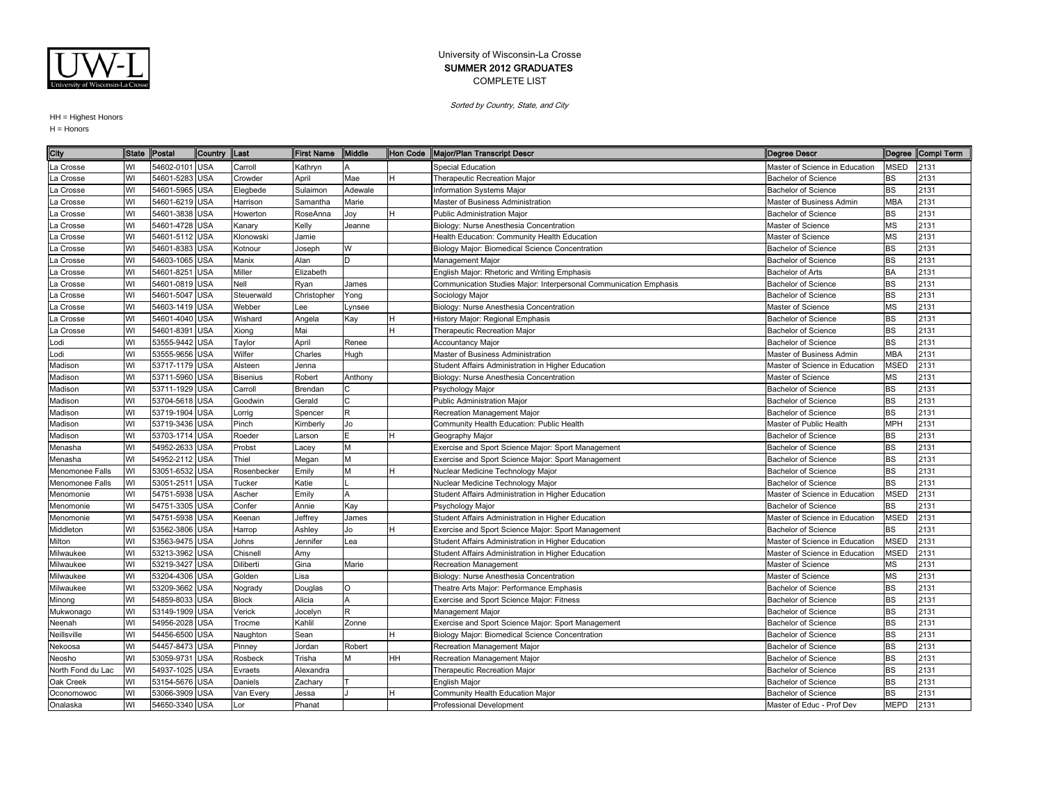

Sorted by Country, State, and City

| City              |    | State Postal   | Country Last |                 | <b>First Name</b> | Middle       |    | Hon Code Major/Plan Transcript Descr                              | <b>Degree Descr</b>            |             | Degree Compl Term |
|-------------------|----|----------------|--------------|-----------------|-------------------|--------------|----|-------------------------------------------------------------------|--------------------------------|-------------|-------------------|
| La Crosse         | WI | 54602-0101     | <b>USA</b>   | Carroll         | Kathryn           | IΔ           |    | Special Education                                                 | Master of Science in Education | <b>MSED</b> | 2131              |
| La Crosse         | WI | 54601-5283 USA |              | Crowder         | April             | Mae          |    | Therapeutic Recreation Major                                      | <b>Bachelor of Science</b>     | BS          | 2131              |
| La Crosse         | WI | 54601-5965 USA |              | Elegbede        | Sulaimon          | Adewale      |    | Information Systems Major                                         | <b>Bachelor of Science</b>     | <b>BS</b>   | 2131              |
| a Crosse          | WI | 54601-6219 USA |              | Harrison        | Samantha          | Marie        |    | Master of Business Administration                                 | Master of Business Admin       | <b>MBA</b>  | 2131              |
| a Crosse          | WI | 54601-3838 USA |              | Howerton        | RoseAnna          | Joy          |    | <b>Public Administration Maior</b>                                | <b>Bachelor of Science</b>     | BS          | 2131              |
| a Crosse          | WI | 54601-4728 USA |              | Kanary          | Kelly             | Jeanne       |    | Biology: Nurse Anesthesia Concentration                           | Master of Science              | <b>MS</b>   | 2131              |
| La Crosse         | WI | 54601-5112 USA |              | Klonowski       | Jamie             |              |    | Health Education: Community Health Education                      | Master of Science              | MS          | 2131              |
| La Crosse         | WI | 54601-8383 USA |              | Kotnour         | Joseph            | W            |    | Biology Major: Biomedical Science Concentration                   | Bachelor of Science            | <b>BS</b>   | 2131              |
| a Crosse          | WI | 54603-1065 USA |              | Manix           | Alan              | ID.          |    | Management Major                                                  | <b>Bachelor of Science</b>     | <b>BS</b>   | 2131              |
| a Crosse          | WI | 54601-8251     | <b>USA</b>   | Miller          | Elizabeth         |              |    | English Major: Rhetoric and Writing Emphasis                      | Bachelor of Arts               | <b>BA</b>   | 2131              |
| La Crosse         | WI | 54601-0819 USA |              | Nell            | Ryan              | James        |    | Communication Studies Major: Interpersonal Communication Emphasis | <b>Bachelor of Science</b>     | <b>BS</b>   | 2131              |
| La Crosse         | WI | 54601-5047 USA |              | Steuerwald      | Christopher       | Yong         |    | Sociology Major                                                   | <b>Bachelor of Science</b>     | <b>BS</b>   | 2131              |
| a Crosse          | WI | 54603-1419 USA |              | Webber          | Lee               | Lynsee       |    | Biology: Nurse Anesthesia Concentration                           | Master of Science              | <b>MS</b>   | 2131              |
| a Crosse          | WI | 54601-4040 USA |              | Wishard         | Angela            | Kay          |    | History Major: Regional Emphasis                                  | <b>Bachelor of Science</b>     | BS          | 2131              |
| La Crosse         | WI | 54601-8391     | <b>USA</b>   | Xiong           | Mai               |              |    | Therapeutic Recreation Major                                      | <b>Bachelor of Science</b>     | <b>BS</b>   | 2131              |
| Lodi              | WI | 53555-9442 USA |              | Taylor          | April             | Renee        |    | Accountancy Major                                                 | <b>Bachelor of Science</b>     | BS          | 2131              |
| Lodi              | WI | 53555-9656 USA |              | Wilfer          | Charles           | Hugh         |    | Master of Business Administration                                 | Master of Business Admin       | <b>MBA</b>  | 2131              |
| Madison           | WI | 53717-1179 USA |              | Alsteen         | Jenna             |              |    | Student Affairs Administration in Higher Education                | Master of Science in Education | <b>MSED</b> | 2131              |
| Madison           | WI | 53711-5960 USA |              | <b>Bisenius</b> | Robert            | Anthony      |    | Biology: Nurse Anesthesia Concentration                           | Master of Science              | <b>MS</b>   | 2131              |
| Madison           | WI | 53711-1929 USA |              | Carroll         | Brendan           |              |    | Psychology Major                                                  | <b>Bachelor of Science</b>     | <b>BS</b>   | 2131              |
| Madison           | WI | 53704-5618 USA |              | Goodwin         | Gerald            | C            |    | Public Administration Major                                       | <b>Bachelor of Science</b>     | <b>BS</b>   | 2131              |
| Madison           | WI | 53719-1904     | <b>USA</b>   | Lorrig          | Spencer           | R            |    | Recreation Management Major                                       | <b>Bachelor of Science</b>     | <b>BS</b>   | 2131              |
| Madison           | WI | 53719-3436 USA |              | Pinch           | Kimberly          | Jo           |    | Community Health Education: Public Health                         | Master of Public Health        | <b>MPH</b>  | 2131              |
| Madison           | WI | 53703-1714     | <b>USA</b>   | Roeder          | Larson            |              |    | Geography Major                                                   | <b>Bachelor of Science</b>     | <b>BS</b>   | 2131              |
| Menasha           | WI | 54952-2633 USA |              | Probst          | Lacey             | M            |    | Exercise and Sport Science Major: Sport Management                | <b>Bachelor of Science</b>     | <b>BS</b>   | 2131              |
| Menasha           | WI | 54952-2112 USA |              | Thiel           | Megan             | M            |    | Exercise and Sport Science Major: Sport Management                | <b>Bachelor of Science</b>     | <b>BS</b>   | 2131              |
| Menomonee Falls   | WI | 53051-6532 USA |              | Rosenbecker     | Emily             | M            |    | Nuclear Medicine Technology Major                                 | <b>Bachelor of Science</b>     | <b>BS</b>   | 2131              |
| Menomonee Falls   | WI | 53051-2511     | <b>USA</b>   | Tucker          | Katie             |              |    | Nuclear Medicine Technology Major                                 | <b>Bachelor of Science</b>     | <b>BS</b>   | 2131              |
| Menomonie         | WI | 54751-5938 USA |              | Ascher          | Emily             | $\mathsf{A}$ |    | Student Affairs Administration in Higher Education                | Master of Science in Education | <b>MSED</b> | 2131              |
| Menomonie         | WI | 54751-3305 USA |              | Confer          | Annie             | Kay          |    | Psychology Major                                                  | <b>Bachelor of Science</b>     | BS          | 2131              |
| Menomonie         | WI | 54751-5938 USA |              | Keenan          | Jeffrey           | James        |    | Student Affairs Administration in Higher Education                | Master of Science in Education | <b>MSED</b> | 2131              |
| Middleton         | WI | 53562-3806     | <b>USA</b>   | Harrop          | Ashley            | Jo           |    | Exercise and Sport Science Major: Sport Management                | <b>Bachelor of Science</b>     | BS          | 2131              |
| Milton            | WI | 53563-9475     | <b>USA</b>   | Johns           | Jennifer          | Lea          |    | Student Affairs Administration in Higher Education                | Master of Science in Education | <b>MSED</b> | 2131              |
| Milwaukee         | WI | 53213-3962 USA |              | Chisnell        | Amy               |              |    | Student Affairs Administration in Higher Education                | Master of Science in Education | <b>MSED</b> | 2131              |
| Milwaukee         | WI | 53219-3427 USA |              | Diliberti       | Gina              | Marie        |    | Recreation Management                                             | Master of Science              | MS          | 2131              |
| Milwaukee         | WI | 53204-4306 USA |              | Golden          | Lisa              |              |    | Biology: Nurse Anesthesia Concentration                           | Master of Science              | MS          | 2131              |
| Milwaukee         | WI | 53209-3662     | <b>USA</b>   | Nogrady         | Douglas           | O            |    | Theatre Arts Major: Performance Emphasis                          | <b>Bachelor of Science</b>     | <b>BS</b>   | 2131              |
| Minong            | WI | 54859-8033     | <b>USA</b>   | <b>Block</b>    | Alicia            | A            |    | Exercise and Sport Science Major: Fitness                         | <b>Bachelor of Science</b>     | <b>BS</b>   | 2131              |
| Mukwonago         | WI | 53149-1909 USA |              | Verick          | Jocelyn           | R            |    | Management Major                                                  | <b>Bachelor of Science</b>     | <b>BS</b>   | 2131              |
| Neenah            | WI | 54956-2028 USA |              | Trocme          | Kahlil            | Zonne        |    | Exercise and Sport Science Major: Sport Management                | <b>Bachelor of Science</b>     | <b>BS</b>   | 2131              |
| Neillsville       | WI | 54456-6500     | <b>USA</b>   | Naughton        | Sean              |              |    | Biology Major: Biomedical Science Concentration                   | <b>Bachelor of Science</b>     | <b>BS</b>   | 2131              |
| Nekoosa           | WI | 54457-8473     | <b>USA</b>   | Pinney          | Jordan            | Robert       |    | Recreation Management Major                                       | <b>Bachelor of Science</b>     | <b>BS</b>   | 2131              |
| Neosho            | WI | 53059-9731     | <b>USA</b>   | Rosbeck         | Trisha            |              | HН | Recreation Management Major                                       | <b>Bachelor of Science</b>     | BS          | 2131              |
| North Fond du Lac | WI | 54937-1025 USA |              | Evraets         | Alexandra         |              |    | Therapeutic Recreation Major                                      | <b>Bachelor of Science</b>     | <b>BS</b>   | 2131              |
| Oak Creek         | WI | 53154-5676 USA |              | Daniels         | Zachary           |              |    | English Major                                                     | <b>Bachelor of Science</b>     | <b>BS</b>   | 2131              |
| Oconomowoc        | WI | 53066-3909 USA |              | Van Every       | Jessa             |              |    | Community Health Education Major                                  | <b>Bachelor of Science</b>     | <b>BS</b>   | 2131              |
| Onalaska          | WI | 54650-3340 USA |              | Lor             | Phanat            |              |    | <b>Professional Development</b>                                   | Master of Educ - Prof Dev      | <b>MEPD</b> | 2131              |